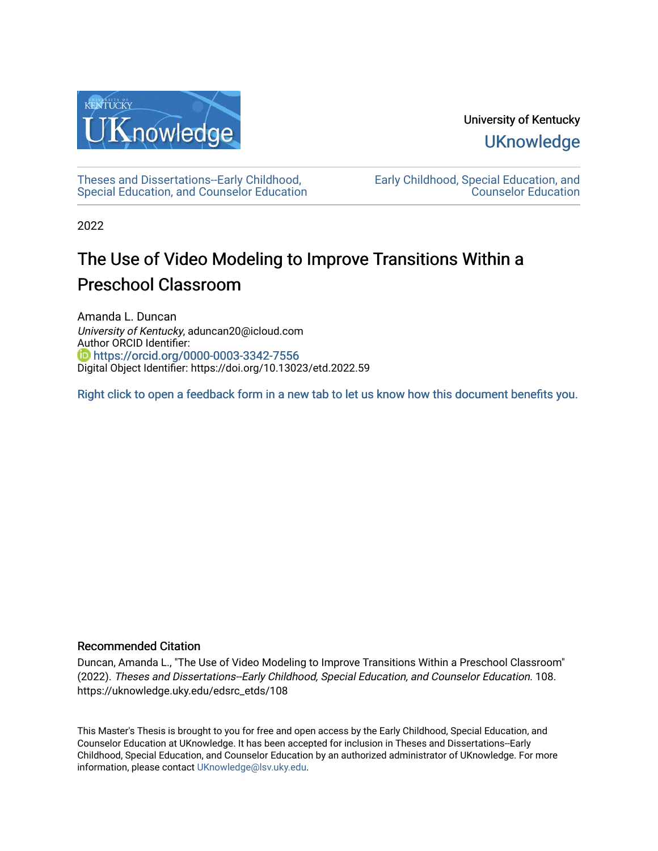

University of Kentucky **UKnowledge** 

[Theses and Dissertations--Early Childhood,](https://uknowledge.uky.edu/edsrc_etds)  [Special Education, and Counselor Education](https://uknowledge.uky.edu/edsrc_etds) [Early Childhood, Special Education, and](https://uknowledge.uky.edu/edsrc)  [Counselor Education](https://uknowledge.uky.edu/edsrc) 

2022

# The Use of Video Modeling to Improve Transitions Within a Preschool Classroom

Amanda L. Duncan University of Kentucky, aduncan20@icloud.com Author ORCID Identifier: **b** https://orcid.org/0000-0003-3342-7556 Digital Object Identifier: https://doi.org/10.13023/etd.2022.59

[Right click to open a feedback form in a new tab to let us know how this document benefits you.](https://uky.az1.qualtrics.com/jfe/form/SV_9mq8fx2GnONRfz7)

#### Recommended Citation

Duncan, Amanda L., "The Use of Video Modeling to Improve Transitions Within a Preschool Classroom" (2022). Theses and Dissertations--Early Childhood, Special Education, and Counselor Education. 108. https://uknowledge.uky.edu/edsrc\_etds/108

This Master's Thesis is brought to you for free and open access by the Early Childhood, Special Education, and Counselor Education at UKnowledge. It has been accepted for inclusion in Theses and Dissertations--Early Childhood, Special Education, and Counselor Education by an authorized administrator of UKnowledge. For more information, please contact [UKnowledge@lsv.uky.edu](mailto:UKnowledge@lsv.uky.edu).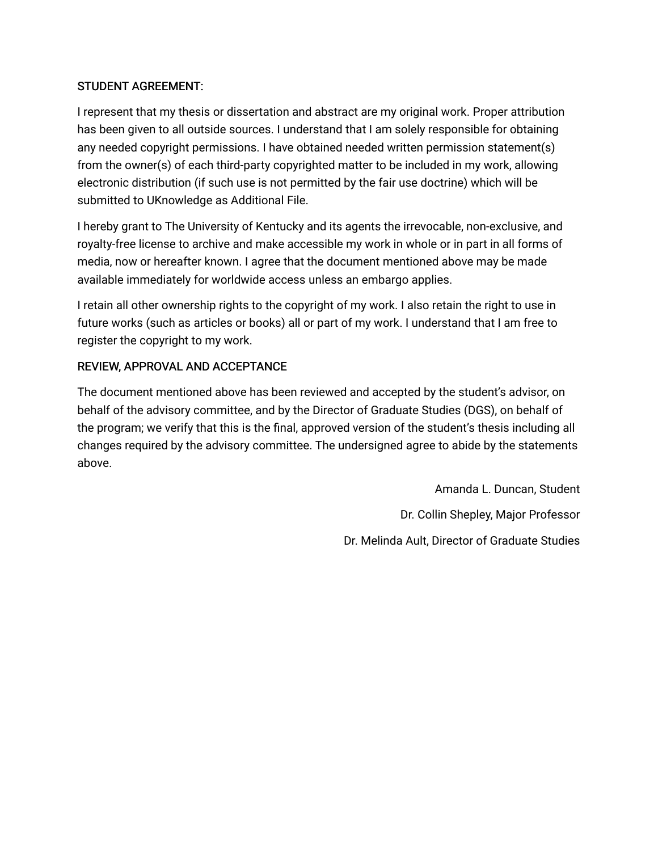## STUDENT AGREEMENT:

I represent that my thesis or dissertation and abstract are my original work. Proper attribution has been given to all outside sources. I understand that I am solely responsible for obtaining any needed copyright permissions. I have obtained needed written permission statement(s) from the owner(s) of each third-party copyrighted matter to be included in my work, allowing electronic distribution (if such use is not permitted by the fair use doctrine) which will be submitted to UKnowledge as Additional File.

I hereby grant to The University of Kentucky and its agents the irrevocable, non-exclusive, and royalty-free license to archive and make accessible my work in whole or in part in all forms of media, now or hereafter known. I agree that the document mentioned above may be made available immediately for worldwide access unless an embargo applies.

I retain all other ownership rights to the copyright of my work. I also retain the right to use in future works (such as articles or books) all or part of my work. I understand that I am free to register the copyright to my work.

## REVIEW, APPROVAL AND ACCEPTANCE

The document mentioned above has been reviewed and accepted by the student's advisor, on behalf of the advisory committee, and by the Director of Graduate Studies (DGS), on behalf of the program; we verify that this is the final, approved version of the student's thesis including all changes required by the advisory committee. The undersigned agree to abide by the statements above.

> Amanda L. Duncan, Student Dr. Collin Shepley, Major Professor Dr. Melinda Ault, Director of Graduate Studies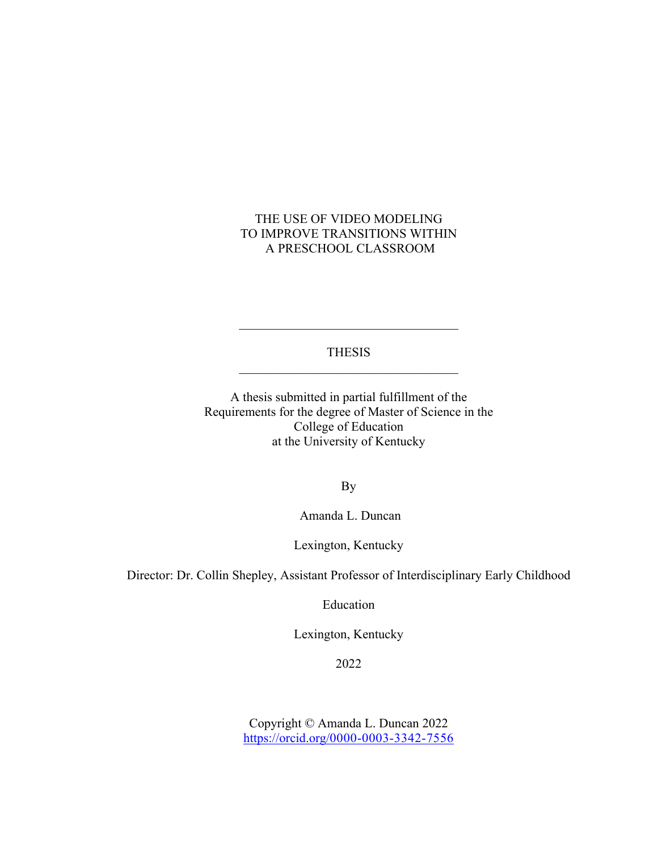## THE USE OF VIDEO MODELING TO IMPROVE TRANSITIONS WITHIN A PRESCHOOL CLASSROOM

THESIS

A thesis submitted in partial fulfillment of the Requirements for the degree of Master of Science in the College of Education at the University of Kentucky

By

Amanda L. Duncan

Lexington, Kentucky

Director: Dr. Collin Shepley, Assistant Professor of Interdisciplinary Early Childhood

Education

Lexington, Kentucky

2022

Copyright © Amanda L. Duncan 2022 https://orcid.org/0000-0003-3342-7556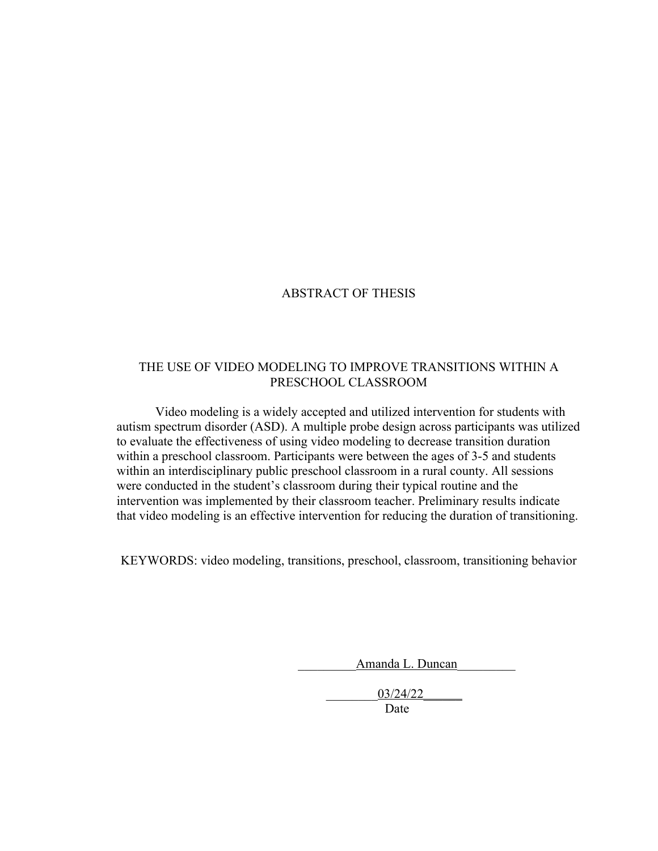#### ABSTRACT OF THESIS

#### THE USE OF VIDEO MODELING TO IMPROVE TRANSITIONS WITHIN A PRESCHOOL CLASSROOM

Video modeling is a widely accepted and utilized intervention for students with autism spectrum disorder (ASD). A multiple probe design across participants was utilized to evaluate the effectiveness of using video modeling to decrease transition duration within a preschool classroom. Participants were between the ages of 3-5 and students within an interdisciplinary public preschool classroom in a rural county. All sessions were conducted in the student's classroom during their typical routine and the intervention was implemented by their classroom teacher. Preliminary results indicate that video modeling is an effective intervention for reducing the duration of transitioning.

KEYWORDS: video modeling, transitions, preschool, classroom, transitioning behavior

Amanda L. Duncan

\_\_\_\_\_\_\_\_03/24/22\_\_\_\_\_\_

Date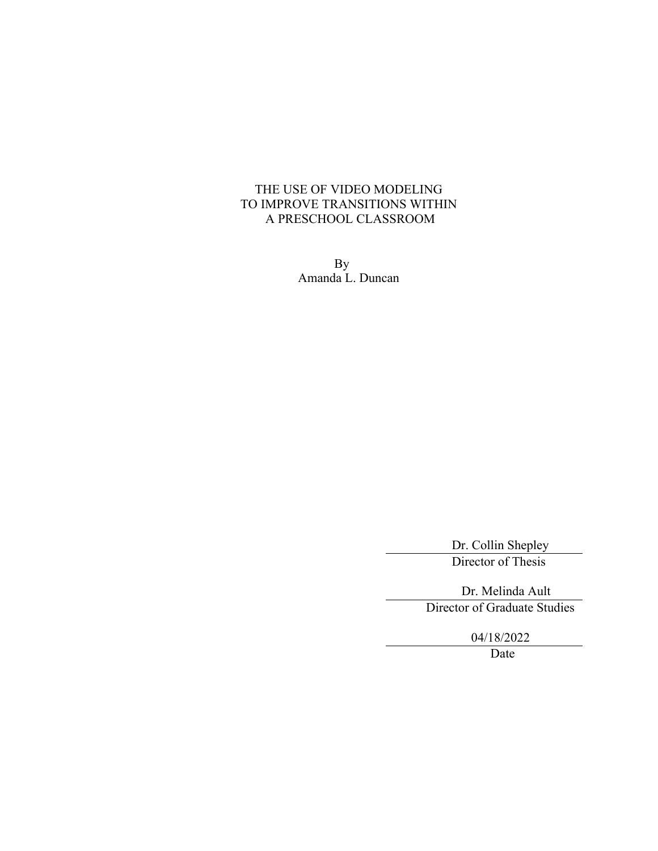### THE USE OF VIDEO MODELING TO IMPROVE TRANSITIONS WITHIN A PRESCHOOL CLASSROOM

By Amanda L. Duncan

> Dr. Collin Shepley Director of Thesis

 Dr. Melinda Ault Director of Graduate Studies

04/18/2022

Date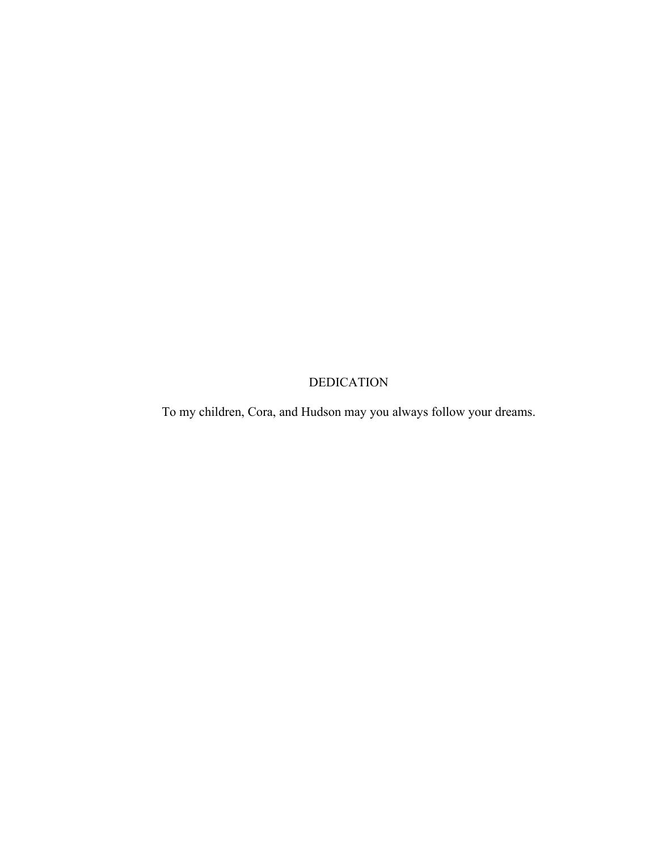## DEDICATION

To my children, Cora, and Hudson may you always follow your dreams.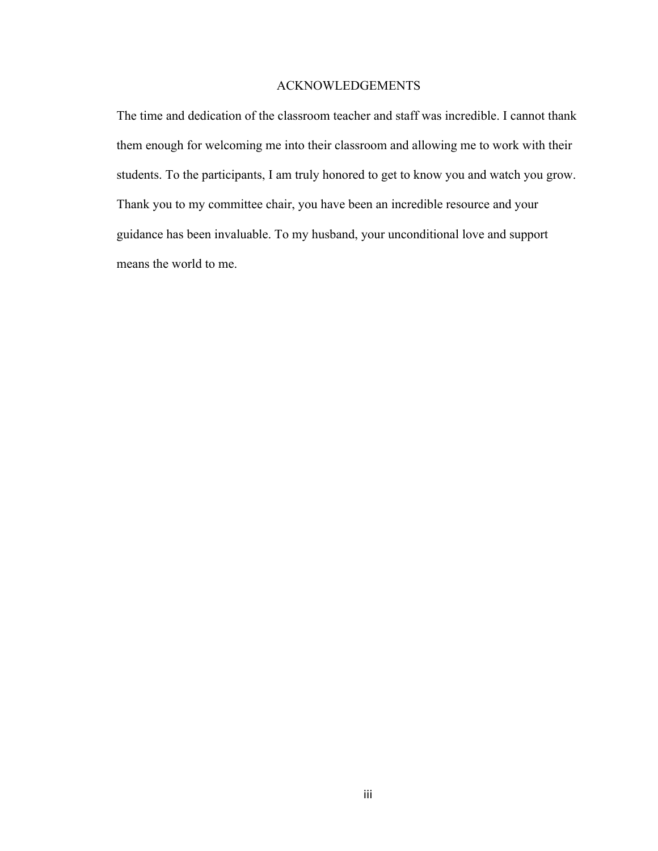#### ACKNOWLEDGEMENTS

The time and dedication of the classroom teacher and staff was incredible. I cannot thank them enough for welcoming me into their classroom and allowing me to work with their students. To the participants, I am truly honored to get to know you and watch you grow. Thank you to my committee chair, you have been an incredible resource and your guidance has been invaluable. To my husband, your unconditional love and support means the world to me.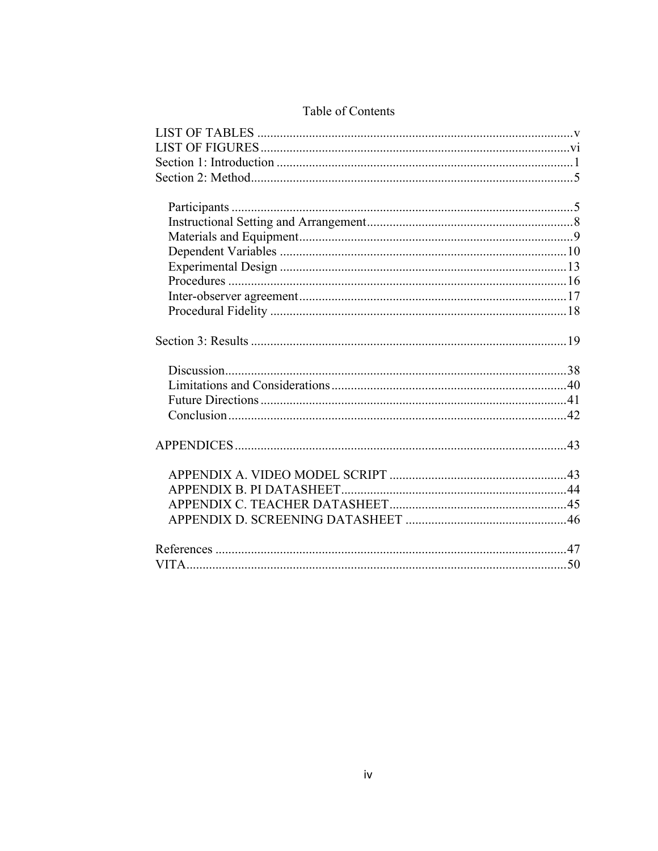## Table of Contents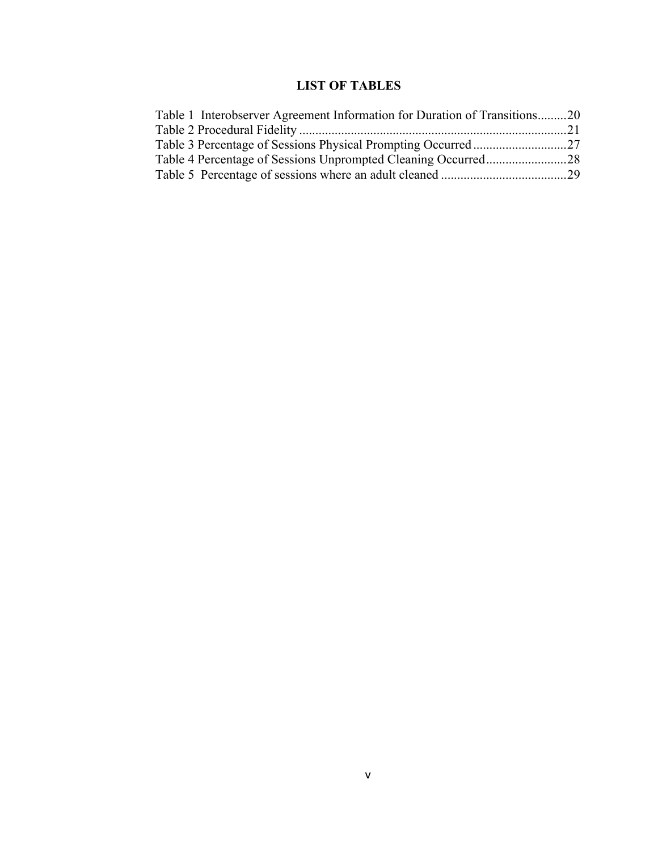## **LIST OF TABLES**

| Table 1 Interobserver Agreement Information for Duration of Transitions20 |  |
|---------------------------------------------------------------------------|--|
|                                                                           |  |
|                                                                           |  |
|                                                                           |  |
|                                                                           |  |
|                                                                           |  |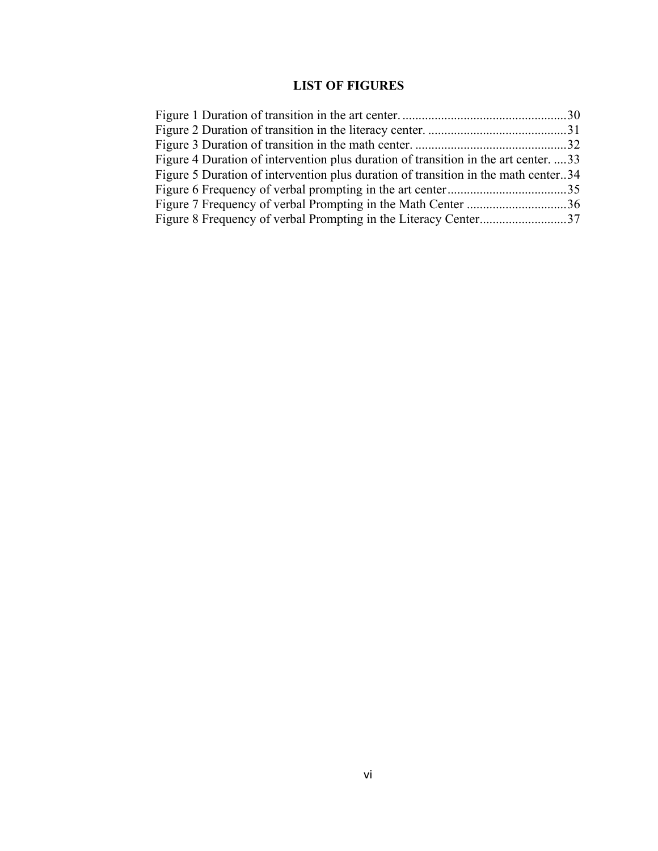## **LIST OF FIGURES**

| Figure 4 Duration of intervention plus duration of transition in the art center33  |  |
|------------------------------------------------------------------------------------|--|
| Figure 5 Duration of intervention plus duration of transition in the math center34 |  |
|                                                                                    |  |
| Figure 7 Frequency of verbal Prompting in the Math Center 36                       |  |
|                                                                                    |  |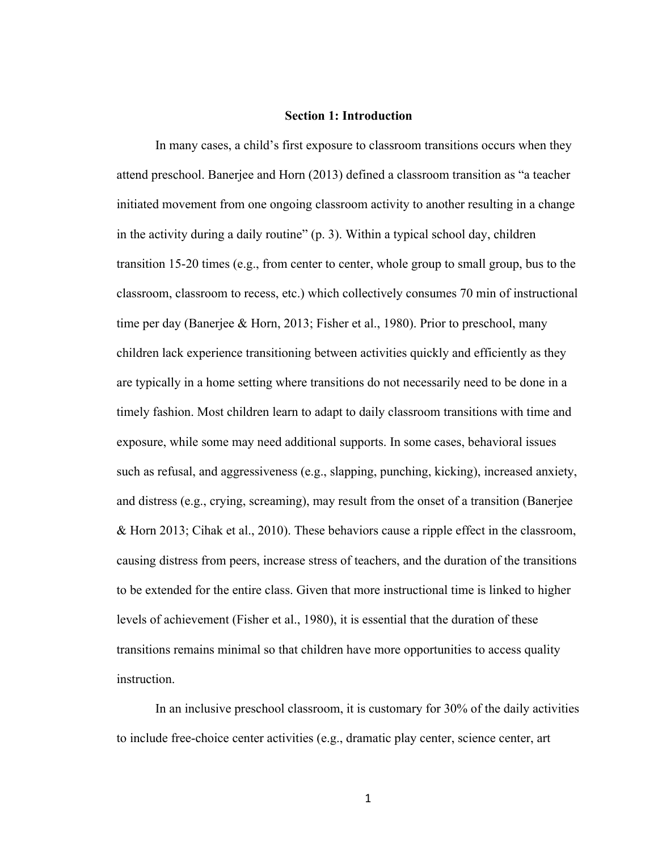#### **Section 1: Introduction**

In many cases, a child's first exposure to classroom transitions occurs when they attend preschool. Banerjee and Horn (2013) defined a classroom transition as "a teacher initiated movement from one ongoing classroom activity to another resulting in a change in the activity during a daily routine" (p. 3). Within a typical school day, children transition 15-20 times (e.g., from center to center, whole group to small group, bus to the classroom, classroom to recess, etc.) which collectively consumes 70 min of instructional time per day (Banerjee & Horn, 2013; Fisher et al., 1980). Prior to preschool, many children lack experience transitioning between activities quickly and efficiently as they are typically in a home setting where transitions do not necessarily need to be done in a timely fashion. Most children learn to adapt to daily classroom transitions with time and exposure, while some may need additional supports. In some cases, behavioral issues such as refusal, and aggressiveness (e.g., slapping, punching, kicking), increased anxiety, and distress (e.g., crying, screaming), may result from the onset of a transition (Banerjee & Horn 2013; Cihak et al., 2010). These behaviors cause a ripple effect in the classroom, causing distress from peers, increase stress of teachers, and the duration of the transitions to be extended for the entire class. Given that more instructional time is linked to higher levels of achievement (Fisher et al., 1980), it is essential that the duration of these transitions remains minimal so that children have more opportunities to access quality instruction.

In an inclusive preschool classroom, it is customary for 30% of the daily activities to include free-choice center activities (e.g., dramatic play center, science center, art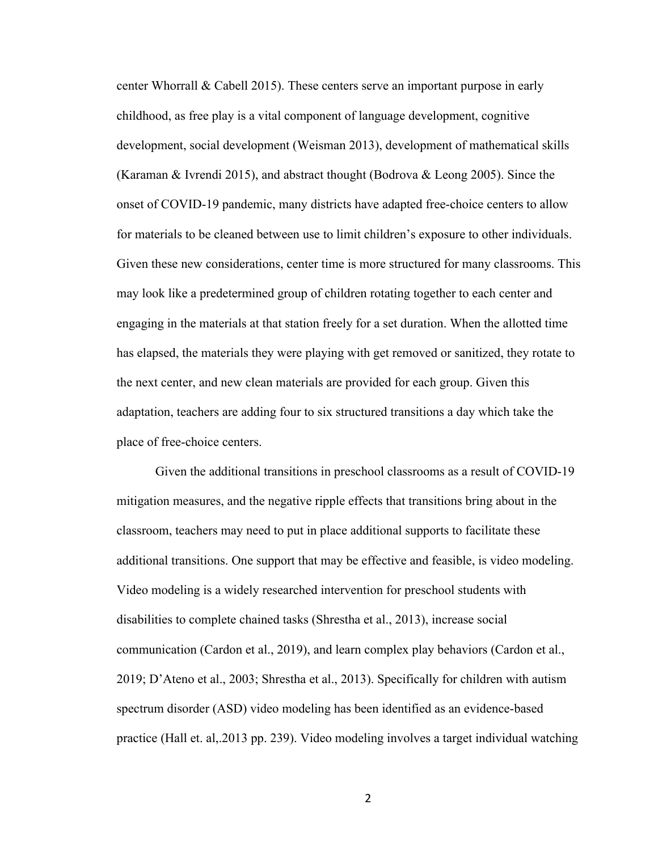center Whorrall & Cabell 2015). These centers serve an important purpose in early childhood, as free play is a vital component of language development, cognitive development, social development (Weisman 2013), development of mathematical skills (Karaman & Ivrendi 2015), and abstract thought (Bodrova & Leong 2005). Since the onset of COVID-19 pandemic, many districts have adapted free-choice centers to allow for materials to be cleaned between use to limit children's exposure to other individuals. Given these new considerations, center time is more structured for many classrooms. This may look like a predetermined group of children rotating together to each center and engaging in the materials at that station freely for a set duration. When the allotted time has elapsed, the materials they were playing with get removed or sanitized, they rotate to the next center, and new clean materials are provided for each group. Given this adaptation, teachers are adding four to six structured transitions a day which take the place of free-choice centers.

Given the additional transitions in preschool classrooms as a result of COVID-19 mitigation measures, and the negative ripple effects that transitions bring about in the classroom, teachers may need to put in place additional supports to facilitate these additional transitions. One support that may be effective and feasible, is video modeling. Video modeling is a widely researched intervention for preschool students with disabilities to complete chained tasks (Shrestha et al., 2013), increase social communication (Cardon et al., 2019), and learn complex play behaviors (Cardon et al., 2019; D'Ateno et al., 2003; Shrestha et al., 2013). Specifically for children with autism spectrum disorder (ASD) video modeling has been identified as an evidence-based practice (Hall et. al, 2013 pp. 239). Video modeling involves a target individual watching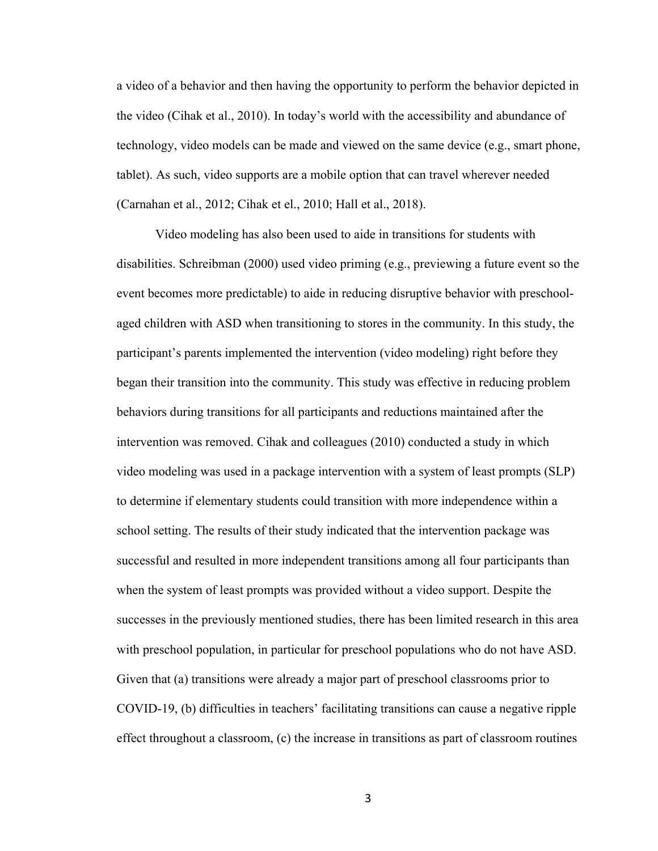a video of a behavior and then having the opportunity to perform the behavior depicted in the video (Cihak et al., 2010). In today's world with the accessibility and abundance of technology, video models can be made and viewed on the same device (e.g., smart phone, tablet). As such, video supports are a mobile option that can travel wherever needed (Carnahan et al., 2012; Cihak et el., 2010; Hall et al., 2018).

Video modeling has also been used to aide in transitions for students with disabilities. Schreibman (2000) used video priming (e.g., previewing a future event so the event becomes more predictable) to aide in reducing disruptive behavior with preschoolaged children with ASD when transitioning to stores in the community. In this study, the participant's parents implemented the intervention (video modeling) right before they began their transition into the community. This study was effective in reducing problem behaviors during transitions for all participants and reductions maintained after the intervention was removed. Cihak and colleagues (2010) conducted a study in which video modeling was used in a package intervention with a system of least prompts (SLP) to determine if elementary students could transition with more independence within a school setting. The results of their study indicated that the intervention package was successful and resulted in more independent transitions among all four participants than when the system of least prompts was provided without a video support. Despite the successes in the previously mentioned studies, there has been limited research in this area with preschool population, in particular for preschool populations who do not have ASD. Given that (a) transitions were already a major part of preschool classrooms prior to COVID-19, (b) difficulties in teachers' facilitating transitions can cause a negative ripple effect throughout a classroom, (c) the increase in transitions as part of classroom routines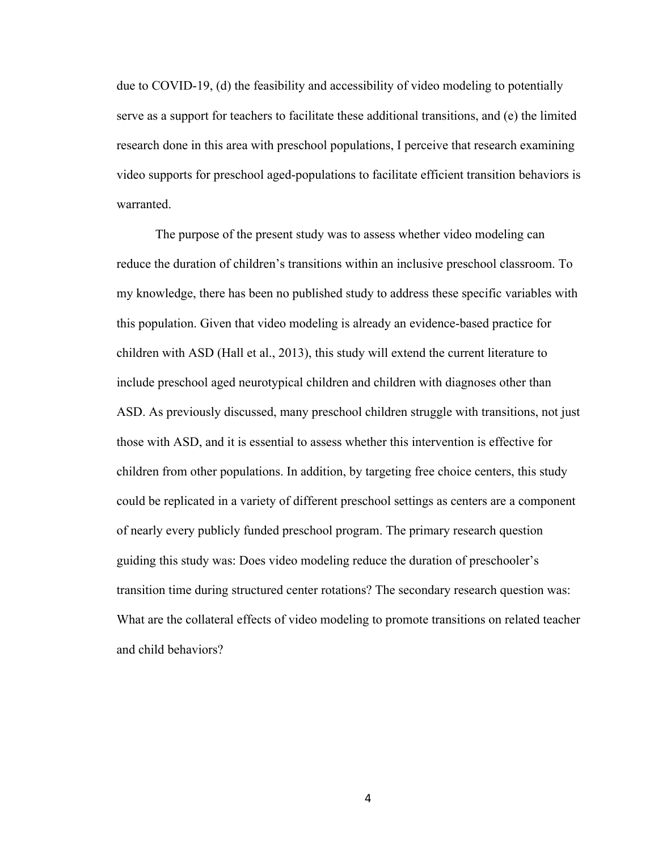due to COVID-19, (d) the feasibility and accessibility of video modeling to potentially serve as a support for teachers to facilitate these additional transitions, and (e) the limited research done in this area with preschool populations, I perceive that research examining video supports for preschool aged-populations to facilitate efficient transition behaviors is warranted.

The purpose of the present study was to assess whether video modeling can reduce the duration of children's transitions within an inclusive preschool classroom. To my knowledge, there has been no published study to address these specific variables with this population. Given that video modeling is already an evidence-based practice for children with ASD (Hall et al., 2013), this study will extend the current literature to include preschool aged neurotypical children and children with diagnoses other than ASD. As previously discussed, many preschool children struggle with transitions, not just those with ASD, and it is essential to assess whether this intervention is effective for children from other populations. In addition, by targeting free choice centers, this study could be replicated in a variety of different preschool settings as centers are a component of nearly every publicly funded preschool program. The primary research question guiding this study was: Does video modeling reduce the duration of preschooler's transition time during structured center rotations? The secondary research question was: What are the collateral effects of video modeling to promote transitions on related teacher and child behaviors?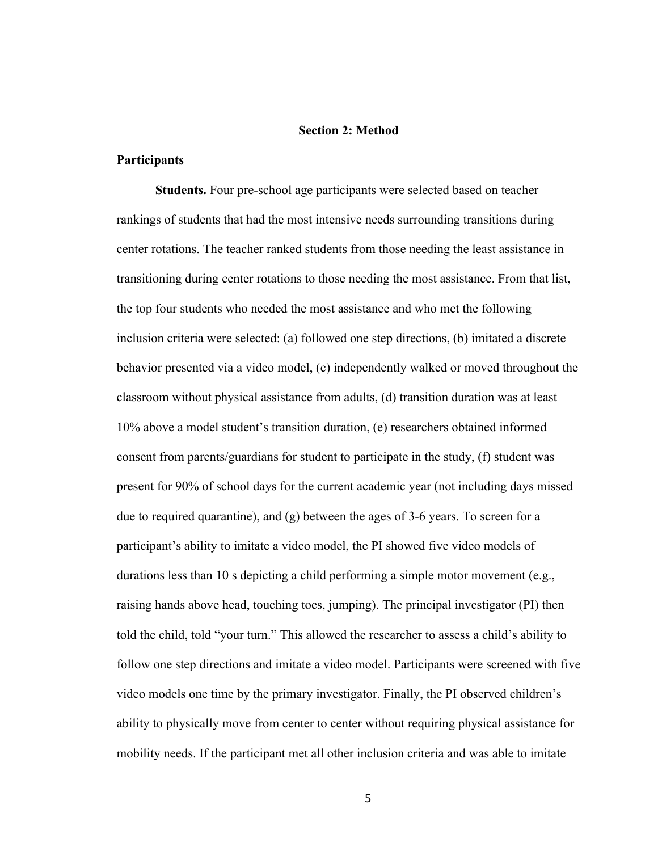#### **Section 2: Method**

#### **Participants**

**Students.** Four pre-school age participants were selected based on teacher rankings of students that had the most intensive needs surrounding transitions during center rotations. The teacher ranked students from those needing the least assistance in transitioning during center rotations to those needing the most assistance. From that list, the top four students who needed the most assistance and who met the following inclusion criteria were selected: (a) followed one step directions, (b) imitated a discrete behavior presented via a video model, (c) independently walked or moved throughout the classroom without physical assistance from adults, (d) transition duration was at least 10% above a model student's transition duration, (e) researchers obtained informed consent from parents/guardians for student to participate in the study, (f) student was present for 90% of school days for the current academic year (not including days missed due to required quarantine), and  $(g)$  between the ages of 3-6 years. To screen for a participant's ability to imitate a video model, the PI showed five video models of durations less than 10 s depicting a child performing a simple motor movement (e.g., raising hands above head, touching toes, jumping). The principal investigator (PI) then told the child, told "your turn." This allowed the researcher to assess a child's ability to follow one step directions and imitate a video model. Participants were screened with five video models one time by the primary investigator. Finally, the PI observed children's ability to physically move from center to center without requiring physical assistance for mobility needs. If the participant met all other inclusion criteria and was able to imitate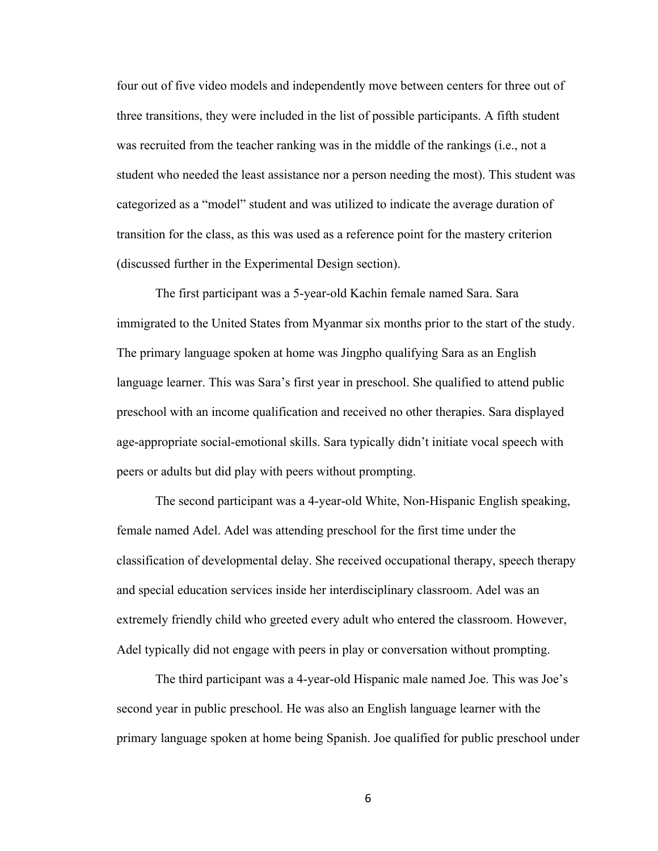four out of five video models and independently move between centers for three out of three transitions, they were included in the list of possible participants. A fifth student was recruited from the teacher ranking was in the middle of the rankings (i.e., not a student who needed the least assistance nor a person needing the most). This student was categorized as a "model" student and was utilized to indicate the average duration of transition for the class, as this was used as a reference point for the mastery criterion (discussed further in the Experimental Design section).

The first participant was a 5-year-old Kachin female named Sara. Sara immigrated to the United States from Myanmar six months prior to the start of the study. The primary language spoken at home was Jingpho qualifying Sara as an English language learner. This was Sara's first year in preschool. She qualified to attend public preschool with an income qualification and received no other therapies. Sara displayed age-appropriate social-emotional skills. Sara typically didn't initiate vocal speech with peers or adults but did play with peers without prompting.

The second participant was a 4-year-old White, Non-Hispanic English speaking, female named Adel. Adel was attending preschool for the first time under the classification of developmental delay. She received occupational therapy, speech therapy and special education services inside her interdisciplinary classroom. Adel was an extremely friendly child who greeted every adult who entered the classroom. However, Adel typically did not engage with peers in play or conversation without prompting.

The third participant was a 4-year-old Hispanic male named Joe. This was Joe's second year in public preschool. He was also an English language learner with the primary language spoken at home being Spanish. Joe qualified for public preschool under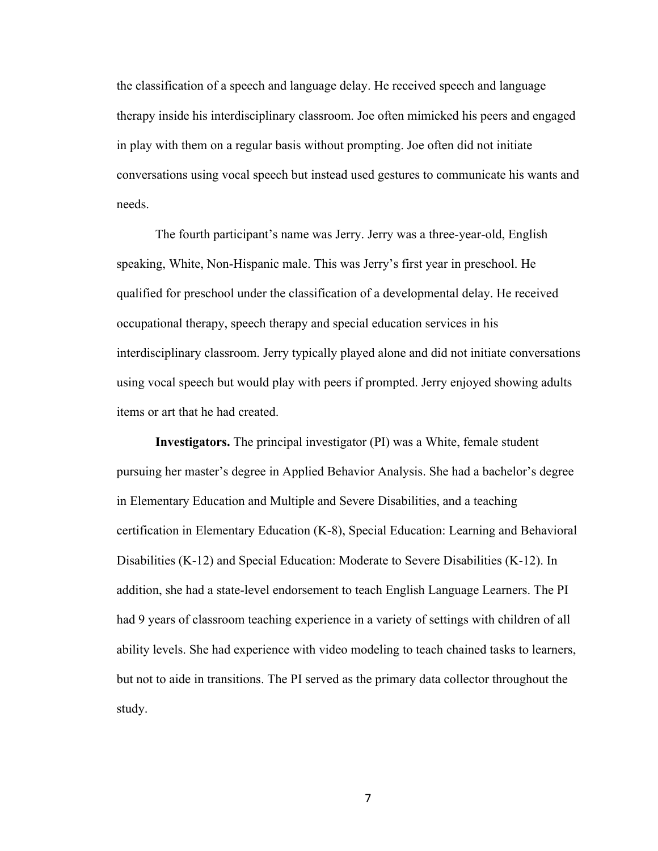the classification of a speech and language delay. He received speech and language therapy inside his interdisciplinary classroom. Joe often mimicked his peers and engaged in play with them on a regular basis without prompting. Joe often did not initiate conversations using vocal speech but instead used gestures to communicate his wants and needs.

The fourth participant's name was Jerry. Jerry was a three-year-old, English speaking, White, Non-Hispanic male. This was Jerry's first year in preschool. He qualified for preschool under the classification of a developmental delay. He received occupational therapy, speech therapy and special education services in his interdisciplinary classroom. Jerry typically played alone and did not initiate conversations using vocal speech but would play with peers if prompted. Jerry enjoyed showing adults items or art that he had created.

**Investigators.** The principal investigator (PI) was a White, female student pursuing her master's degree in Applied Behavior Analysis. She had a bachelor's degree in Elementary Education and Multiple and Severe Disabilities, and a teaching certification in Elementary Education (K-8), Special Education: Learning and Behavioral Disabilities (K-12) and Special Education: Moderate to Severe Disabilities (K-12). In addition, she had a state-level endorsement to teach English Language Learners. The PI had 9 years of classroom teaching experience in a variety of settings with children of all ability levels. She had experience with video modeling to teach chained tasks to learners, but not to aide in transitions. The PI served as the primary data collector throughout the study.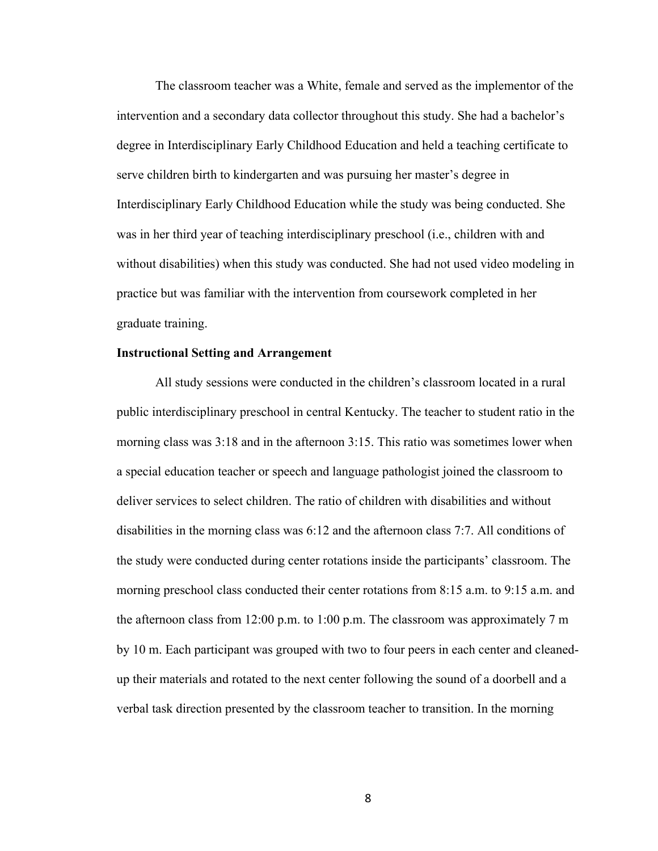The classroom teacher was a White, female and served as the implementor of the intervention and a secondary data collector throughout this study. She had a bachelor's degree in Interdisciplinary Early Childhood Education and held a teaching certificate to serve children birth to kindergarten and was pursuing her master's degree in Interdisciplinary Early Childhood Education while the study was being conducted. She was in her third year of teaching interdisciplinary preschool (i.e., children with and without disabilities) when this study was conducted. She had not used video modeling in practice but was familiar with the intervention from coursework completed in her graduate training.

#### **Instructional Setting and Arrangement**

All study sessions were conducted in the children's classroom located in a rural public interdisciplinary preschool in central Kentucky. The teacher to student ratio in the morning class was 3:18 and in the afternoon 3:15. This ratio was sometimes lower when a special education teacher or speech and language pathologist joined the classroom to deliver services to select children. The ratio of children with disabilities and without disabilities in the morning class was 6:12 and the afternoon class 7:7. All conditions of the study were conducted during center rotations inside the participants' classroom. The morning preschool class conducted their center rotations from 8:15 a.m. to 9:15 a.m. and the afternoon class from 12:00 p.m. to 1:00 p.m. The classroom was approximately 7 m by 10 m. Each participant was grouped with two to four peers in each center and cleanedup their materials and rotated to the next center following the sound of a doorbell and a verbal task direction presented by the classroom teacher to transition. In the morning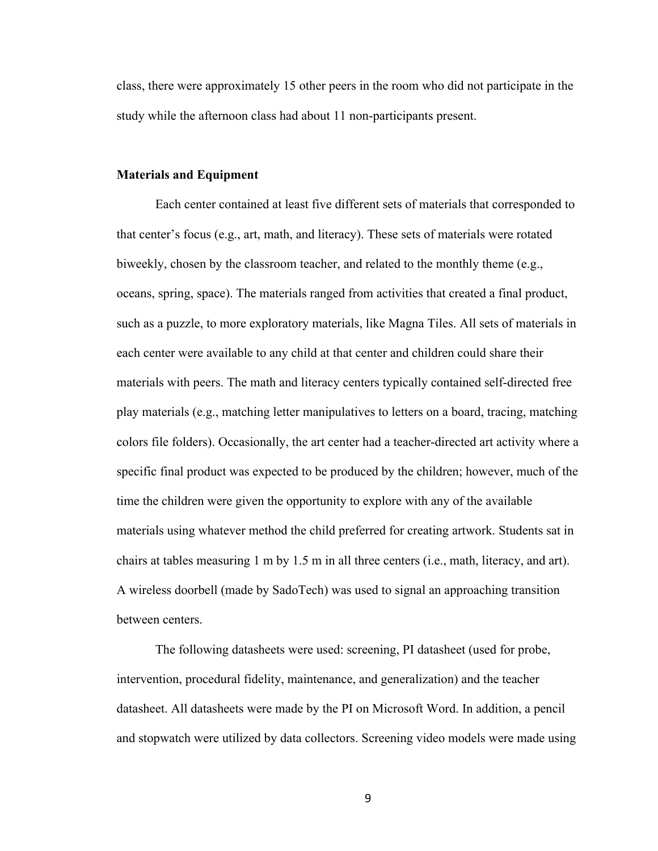class, there were approximately 15 other peers in the room who did not participate in the study while the afternoon class had about 11 non-participants present.

#### **Materials and Equipment**

Each center contained at least five different sets of materials that corresponded to that center's focus (e.g., art, math, and literacy). These sets of materials were rotated biweekly, chosen by the classroom teacher, and related to the monthly theme (e.g., oceans, spring, space). The materials ranged from activities that created a final product, such as a puzzle, to more exploratory materials, like Magna Tiles. All sets of materials in each center were available to any child at that center and children could share their materials with peers. The math and literacy centers typically contained self-directed free play materials (e.g., matching letter manipulatives to letters on a board, tracing, matching colors file folders). Occasionally, the art center had a teacher-directed art activity where a specific final product was expected to be produced by the children; however, much of the time the children were given the opportunity to explore with any of the available materials using whatever method the child preferred for creating artwork. Students sat in chairs at tables measuring 1 m by 1.5 m in all three centers (i.e., math, literacy, and art). A wireless doorbell (made by SadoTech) was used to signal an approaching transition between centers.

The following datasheets were used: screening, PI datasheet (used for probe, intervention, procedural fidelity, maintenance, and generalization) and the teacher datasheet. All datasheets were made by the PI on Microsoft Word. In addition, a pencil and stopwatch were utilized by data collectors. Screening video models were made using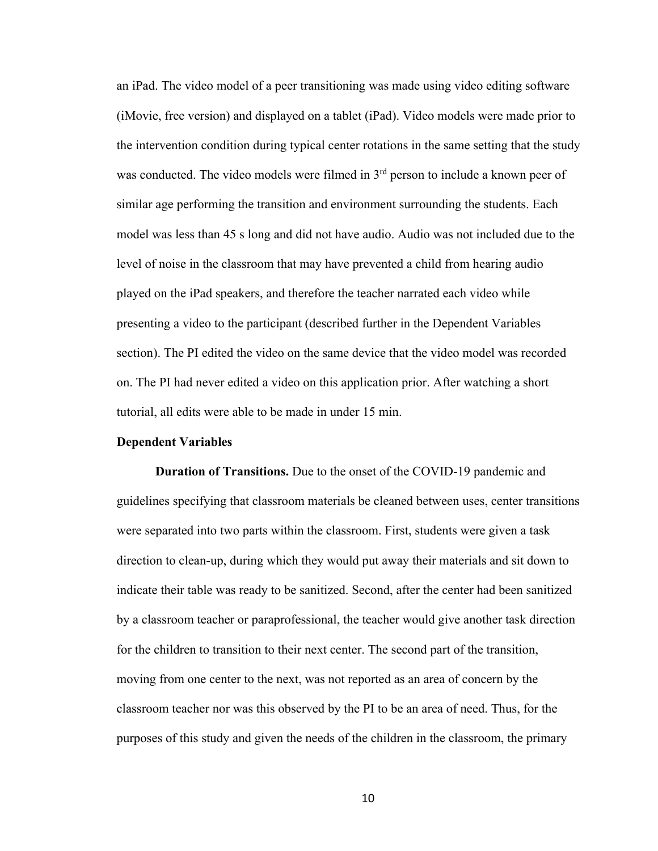an iPad. The video model of a peer transitioning was made using video editing software (iMovie, free version) and displayed on a tablet (iPad). Video models were made prior to the intervention condition during typical center rotations in the same setting that the study was conducted. The video models were filmed in 3<sup>rd</sup> person to include a known peer of similar age performing the transition and environment surrounding the students. Each model was less than 45 s long and did not have audio. Audio was not included due to the level of noise in the classroom that may have prevented a child from hearing audio played on the iPad speakers, and therefore the teacher narrated each video while presenting a video to the participant (described further in the Dependent Variables section). The PI edited the video on the same device that the video model was recorded on. The PI had never edited a video on this application prior. After watching a short tutorial, all edits were able to be made in under 15 min.

#### **Dependent Variables**

**Duration of Transitions.** Due to the onset of the COVID-19 pandemic and guidelines specifying that classroom materials be cleaned between uses, center transitions were separated into two parts within the classroom. First, students were given a task direction to clean-up, during which they would put away their materials and sit down to indicate their table was ready to be sanitized. Second, after the center had been sanitized by a classroom teacher or paraprofessional, the teacher would give another task direction for the children to transition to their next center. The second part of the transition, moving from one center to the next, was not reported as an area of concern by the classroom teacher nor was this observed by the PI to be an area of need. Thus, for the purposes of this study and given the needs of the children in the classroom, the primary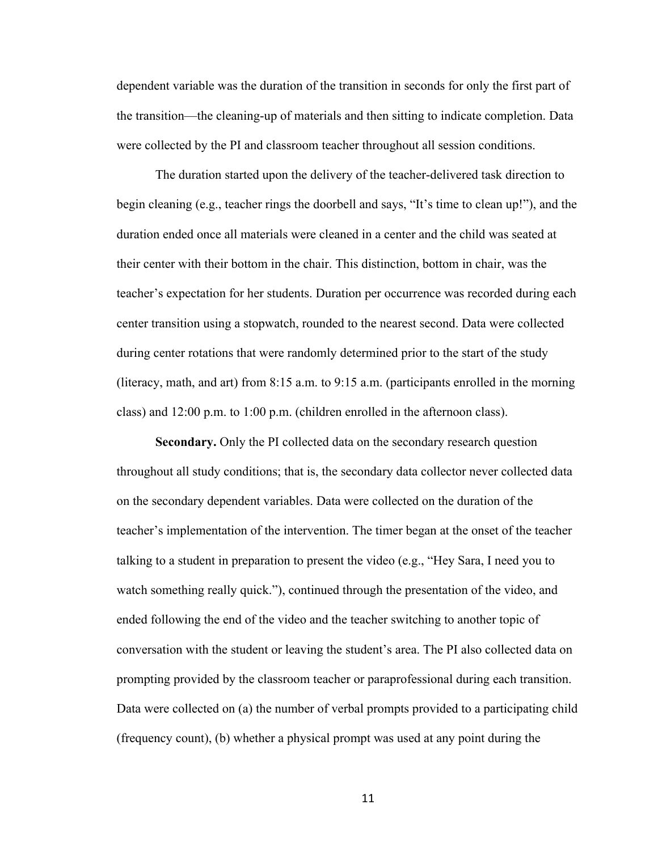dependent variable was the duration of the transition in seconds for only the first part of the transition—the cleaning-up of materials and then sitting to indicate completion. Data were collected by the PI and classroom teacher throughout all session conditions.

The duration started upon the delivery of the teacher-delivered task direction to begin cleaning (e.g., teacher rings the doorbell and says, "It's time to clean up!"), and the duration ended once all materials were cleaned in a center and the child was seated at their center with their bottom in the chair. This distinction, bottom in chair, was the teacher's expectation for her students. Duration per occurrence was recorded during each center transition using a stopwatch, rounded to the nearest second. Data were collected during center rotations that were randomly determined prior to the start of the study (literacy, math, and art) from 8:15 a.m. to 9:15 a.m. (participants enrolled in the morning class) and 12:00 p.m. to 1:00 p.m. (children enrolled in the afternoon class).

**Secondary.** Only the PI collected data on the secondary research question throughout all study conditions; that is, the secondary data collector never collected data on the secondary dependent variables. Data were collected on the duration of the teacher's implementation of the intervention. The timer began at the onset of the teacher talking to a student in preparation to present the video (e.g., "Hey Sara, I need you to watch something really quick."), continued through the presentation of the video, and ended following the end of the video and the teacher switching to another topic of conversation with the student or leaving the student's area. The PI also collected data on prompting provided by the classroom teacher or paraprofessional during each transition. Data were collected on (a) the number of verbal prompts provided to a participating child (frequency count), (b) whether a physical prompt was used at any point during the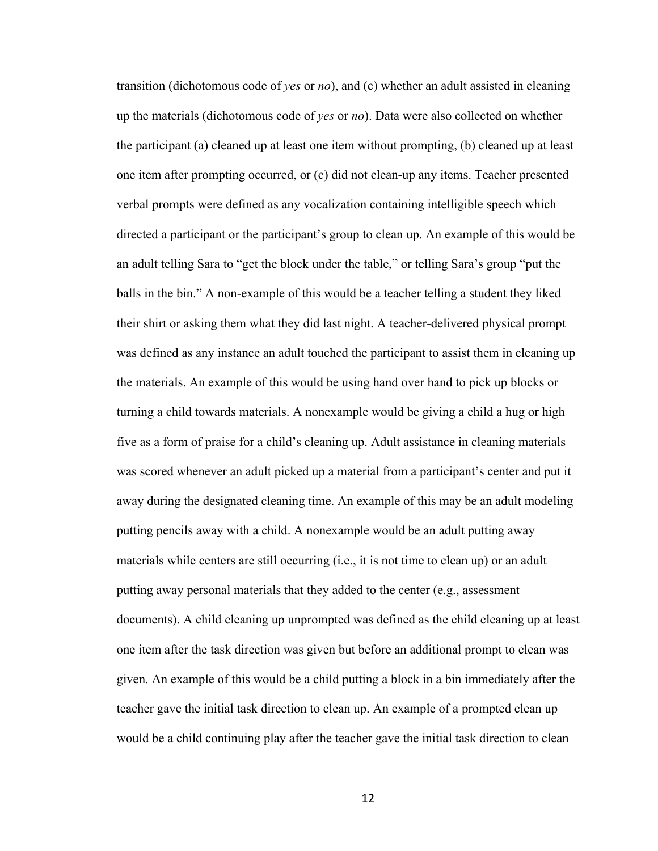transition (dichotomous code of *yes* or *no*), and (c) whether an adult assisted in cleaning up the materials (dichotomous code of *yes* or *no*). Data were also collected on whether the participant (a) cleaned up at least one item without prompting, (b) cleaned up at least one item after prompting occurred, or (c) did not clean-up any items. Teacher presented verbal prompts were defined as any vocalization containing intelligible speech which directed a participant or the participant's group to clean up. An example of this would be an adult telling Sara to "get the block under the table," or telling Sara's group "put the balls in the bin." A non-example of this would be a teacher telling a student they liked their shirt or asking them what they did last night. A teacher-delivered physical prompt was defined as any instance an adult touched the participant to assist them in cleaning up the materials. An example of this would be using hand over hand to pick up blocks or turning a child towards materials. A nonexample would be giving a child a hug or high five as a form of praise for a child's cleaning up. Adult assistance in cleaning materials was scored whenever an adult picked up a material from a participant's center and put it away during the designated cleaning time. An example of this may be an adult modeling putting pencils away with a child. A nonexample would be an adult putting away materials while centers are still occurring (i.e., it is not time to clean up) or an adult putting away personal materials that they added to the center (e.g., assessment documents). A child cleaning up unprompted was defined as the child cleaning up at least one item after the task direction was given but before an additional prompt to clean was given. An example of this would be a child putting a block in a bin immediately after the teacher gave the initial task direction to clean up. An example of a prompted clean up would be a child continuing play after the teacher gave the initial task direction to clean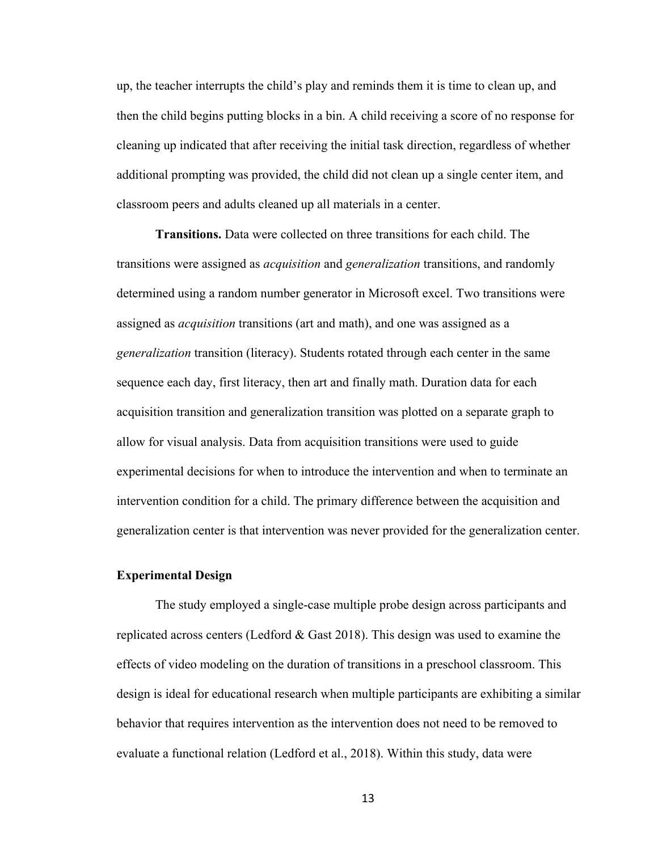up, the teacher interrupts the child's play and reminds them it is time to clean up, and then the child begins putting blocks in a bin. A child receiving a score of no response for cleaning up indicated that after receiving the initial task direction, regardless of whether additional prompting was provided, the child did not clean up a single center item, and classroom peers and adults cleaned up all materials in a center.

**Transitions.** Data were collected on three transitions for each child. The transitions were assigned as *acquisition* and *generalization* transitions, and randomly determined using a random number generator in Microsoft excel. Two transitions were assigned as *acquisition* transitions (art and math), and one was assigned as a *generalization* transition (literacy). Students rotated through each center in the same sequence each day, first literacy, then art and finally math. Duration data for each acquisition transition and generalization transition was plotted on a separate graph to allow for visual analysis. Data from acquisition transitions were used to guide experimental decisions for when to introduce the intervention and when to terminate an intervention condition for a child. The primary difference between the acquisition and generalization center is that intervention was never provided for the generalization center.

#### **Experimental Design**

The study employed a single-case multiple probe design across participants and replicated across centers (Ledford & Gast 2018). This design was used to examine the effects of video modeling on the duration of transitions in a preschool classroom. This design is ideal for educational research when multiple participants are exhibiting a similar behavior that requires intervention as the intervention does not need to be removed to evaluate a functional relation (Ledford et al., 2018). Within this study, data were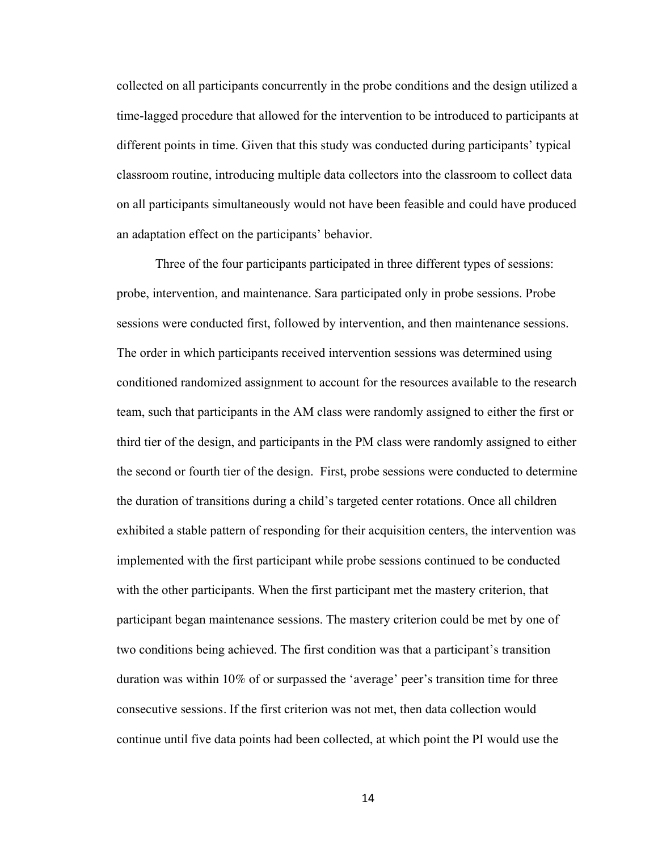collected on all participants concurrently in the probe conditions and the design utilized a time-lagged procedure that allowed for the intervention to be introduced to participants at different points in time. Given that this study was conducted during participants' typical classroom routine, introducing multiple data collectors into the classroom to collect data on all participants simultaneously would not have been feasible and could have produced an adaptation effect on the participants' behavior.

Three of the four participants participated in three different types of sessions: probe, intervention, and maintenance. Sara participated only in probe sessions. Probe sessions were conducted first, followed by intervention, and then maintenance sessions. The order in which participants received intervention sessions was determined using conditioned randomized assignment to account for the resources available to the research team, such that participants in the AM class were randomly assigned to either the first or third tier of the design, and participants in the PM class were randomly assigned to either the second or fourth tier of the design. First, probe sessions were conducted to determine the duration of transitions during a child's targeted center rotations. Once all children exhibited a stable pattern of responding for their acquisition centers, the intervention was implemented with the first participant while probe sessions continued to be conducted with the other participants. When the first participant met the mastery criterion, that participant began maintenance sessions. The mastery criterion could be met by one of two conditions being achieved. The first condition was that a participant's transition duration was within 10% of or surpassed the 'average' peer's transition time for three consecutive sessions. If the first criterion was not met, then data collection would continue until five data points had been collected, at which point the PI would use the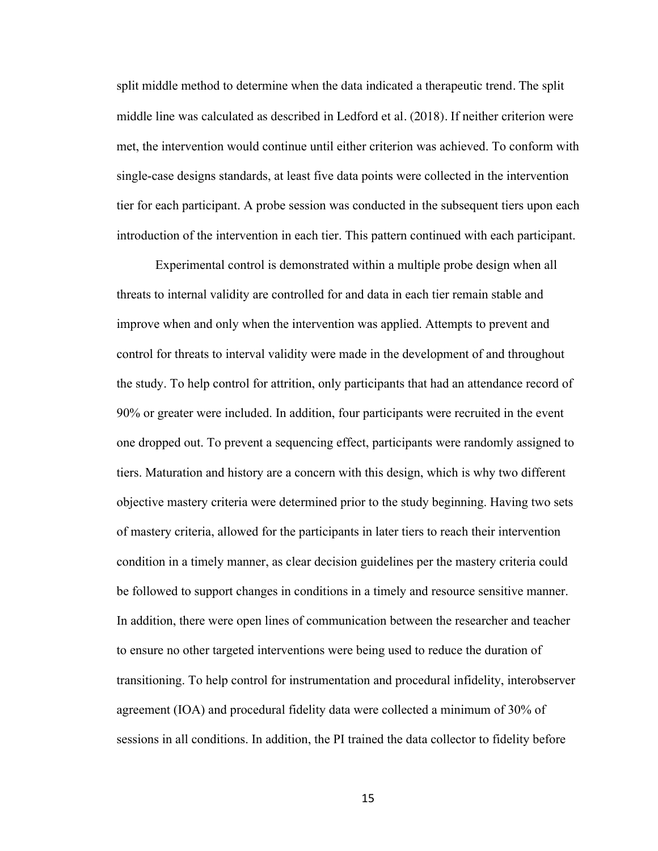split middle method to determine when the data indicated a therapeutic trend. The split middle line was calculated as described in Ledford et al. (2018). If neither criterion were met, the intervention would continue until either criterion was achieved. To conform with single-case designs standards, at least five data points were collected in the intervention tier for each participant. A probe session was conducted in the subsequent tiers upon each introduction of the intervention in each tier. This pattern continued with each participant.

Experimental control is demonstrated within a multiple probe design when all threats to internal validity are controlled for and data in each tier remain stable and improve when and only when the intervention was applied. Attempts to prevent and control for threats to interval validity were made in the development of and throughout the study. To help control for attrition, only participants that had an attendance record of 90% or greater were included. In addition, four participants were recruited in the event one dropped out. To prevent a sequencing effect, participants were randomly assigned to tiers. Maturation and history are a concern with this design, which is why two different objective mastery criteria were determined prior to the study beginning. Having two sets of mastery criteria, allowed for the participants in later tiers to reach their intervention condition in a timely manner, as clear decision guidelines per the mastery criteria could be followed to support changes in conditions in a timely and resource sensitive manner. In addition, there were open lines of communication between the researcher and teacher to ensure no other targeted interventions were being used to reduce the duration of transitioning. To help control for instrumentation and procedural infidelity, interobserver agreement (IOA) and procedural fidelity data were collected a minimum of 30% of sessions in all conditions. In addition, the PI trained the data collector to fidelity before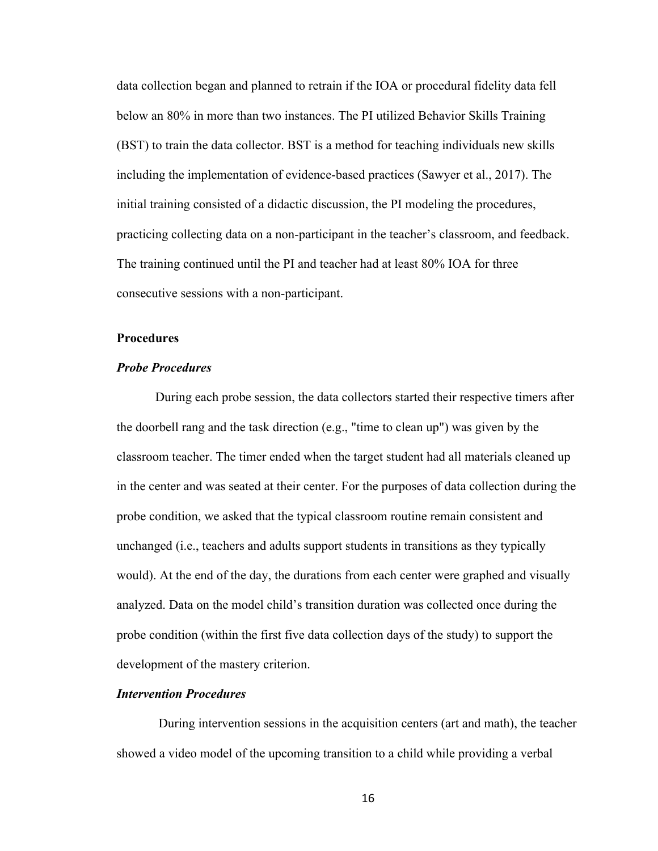data collection began and planned to retrain if the IOA or procedural fidelity data fell below an 80% in more than two instances. The PI utilized Behavior Skills Training (BST) to train the data collector. BST is a method for teaching individuals new skills including the implementation of evidence-based practices (Sawyer et al., 2017). The initial training consisted of a didactic discussion, the PI modeling the procedures, practicing collecting data on a non-participant in the teacher's classroom, and feedback. The training continued until the PI and teacher had at least 80% IOA for three consecutive sessions with a non-participant.

#### **Procedures**

#### *Probe Procedures*

During each probe session, the data collectors started their respective timers after the doorbell rang and the task direction (e.g., "time to clean up") was given by the classroom teacher. The timer ended when the target student had all materials cleaned up in the center and was seated at their center. For the purposes of data collection during the probe condition, we asked that the typical classroom routine remain consistent and unchanged (i.e., teachers and adults support students in transitions as they typically would). At the end of the day, the durations from each center were graphed and visually analyzed. Data on the model child's transition duration was collected once during the probe condition (within the first five data collection days of the study) to support the development of the mastery criterion.

#### *Intervention Procedures*

During intervention sessions in the acquisition centers (art and math), the teacher showed a video model of the upcoming transition to a child while providing a verbal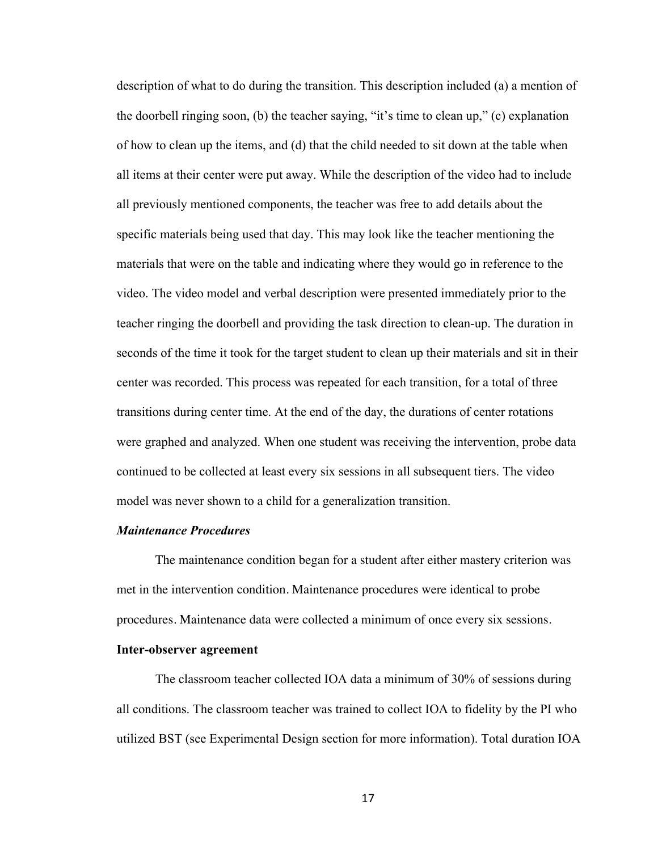description of what to do during the transition. This description included (a) a mention of the doorbell ringing soon, (b) the teacher saying, "it's time to clean up," (c) explanation of how to clean up the items, and (d) that the child needed to sit down at the table when all items at their center were put away. While the description of the video had to include all previously mentioned components, the teacher was free to add details about the specific materials being used that day. This may look like the teacher mentioning the materials that were on the table and indicating where they would go in reference to the video. The video model and verbal description were presented immediately prior to the teacher ringing the doorbell and providing the task direction to clean-up. The duration in seconds of the time it took for the target student to clean up their materials and sit in their center was recorded. This process was repeated for each transition, for a total of three transitions during center time. At the end of the day, the durations of center rotations were graphed and analyzed. When one student was receiving the intervention, probe data continued to be collected at least every six sessions in all subsequent tiers. The video model was never shown to a child for a generalization transition.

#### *Maintenance Procedures*

The maintenance condition began for a student after either mastery criterion was met in the intervention condition. Maintenance procedures were identical to probe procedures. Maintenance data were collected a minimum of once every six sessions.

#### **Inter-observer agreement**

The classroom teacher collected IOA data a minimum of 30% of sessions during all conditions. The classroom teacher was trained to collect IOA to fidelity by the PI who utilized BST (see Experimental Design section for more information). Total duration IOA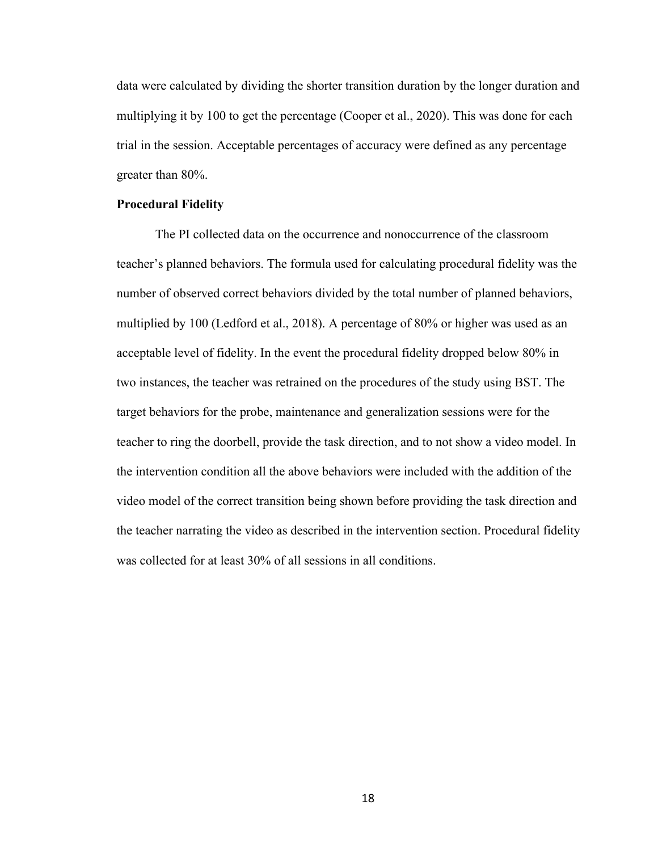data were calculated by dividing the shorter transition duration by the longer duration and multiplying it by 100 to get the percentage (Cooper et al., 2020). This was done for each trial in the session. Acceptable percentages of accuracy were defined as any percentage greater than 80%.

#### **Procedural Fidelity**

The PI collected data on the occurrence and nonoccurrence of the classroom teacher's planned behaviors. The formula used for calculating procedural fidelity was the number of observed correct behaviors divided by the total number of planned behaviors, multiplied by 100 (Ledford et al., 2018). A percentage of 80% or higher was used as an acceptable level of fidelity. In the event the procedural fidelity dropped below 80% in two instances, the teacher was retrained on the procedures of the study using BST. The target behaviors for the probe, maintenance and generalization sessions were for the teacher to ring the doorbell, provide the task direction, and to not show a video model. In the intervention condition all the above behaviors were included with the addition of the video model of the correct transition being shown before providing the task direction and the teacher narrating the video as described in the intervention section. Procedural fidelity was collected for at least 30% of all sessions in all conditions.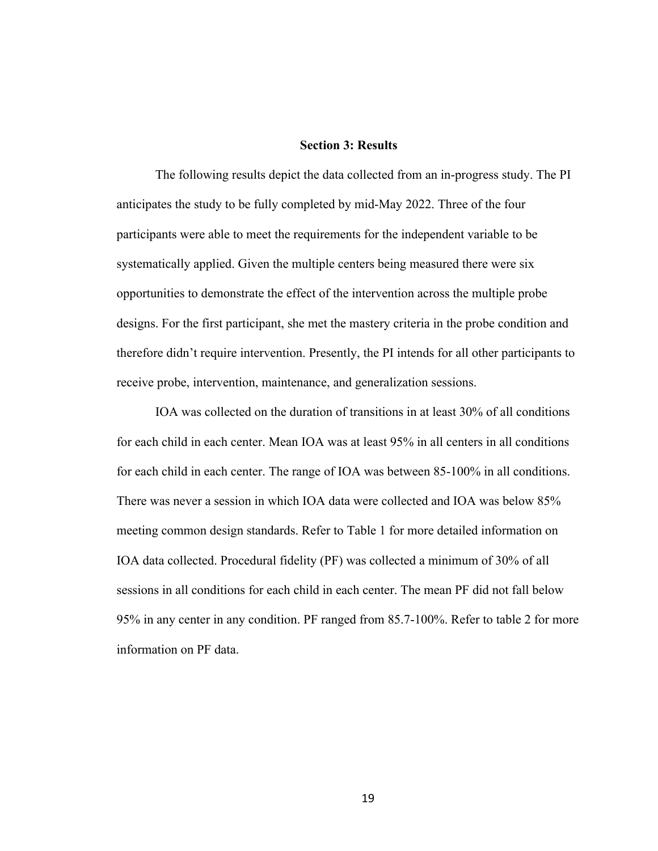#### **Section 3: Results**

The following results depict the data collected from an in-progress study. The PI anticipates the study to be fully completed by mid-May 2022. Three of the four participants were able to meet the requirements for the independent variable to be systematically applied. Given the multiple centers being measured there were six opportunities to demonstrate the effect of the intervention across the multiple probe designs. For the first participant, she met the mastery criteria in the probe condition and therefore didn't require intervention. Presently, the PI intends for all other participants to receive probe, intervention, maintenance, and generalization sessions.

IOA was collected on the duration of transitions in at least 30% of all conditions for each child in each center. Mean IOA was at least 95% in all centers in all conditions for each child in each center. The range of IOA was between 85-100% in all conditions. There was never a session in which IOA data were collected and IOA was below 85% meeting common design standards. Refer to Table 1 for more detailed information on IOA data collected. Procedural fidelity (PF) was collected a minimum of 30% of all sessions in all conditions for each child in each center. The mean PF did not fall below 95% in any center in any condition. PF ranged from 85.7-100%. Refer to table 2 for more information on PF data.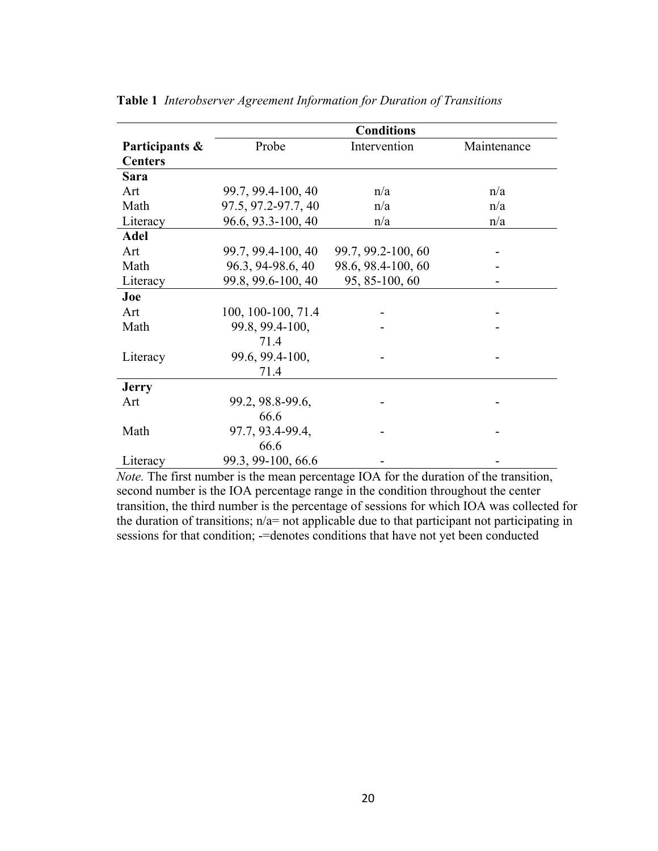|                | <b>Conditions</b>   |                    |             |  |
|----------------|---------------------|--------------------|-------------|--|
| Participants & | Probe               | Intervention       | Maintenance |  |
| <b>Centers</b> |                     |                    |             |  |
| Sara           |                     |                    |             |  |
| Art            | 99.7, 99.4-100, 40  | n/a                | n/a         |  |
| Math           | 97.5, 97.2-97.7, 40 | n/a                | n/a         |  |
| Literacy       | 96.6, 93.3-100, 40  | n/a                | n/a         |  |
| <b>Adel</b>    |                     |                    |             |  |
| Art            | 99.7, 99.4-100, 40  | 99.7, 99.2-100, 60 |             |  |
| Math           | 96.3, 94-98.6, 40   | 98.6, 98.4-100, 60 |             |  |
| Literacy       | 99.8, 99.6-100, 40  | 95, 85-100, 60     |             |  |
| Joe            |                     |                    |             |  |
| Art            | 100, 100-100, 71.4  |                    |             |  |
| Math           | 99.8, 99.4-100,     |                    |             |  |
|                | 71.4                |                    |             |  |
| Literacy       | 99.6, 99.4-100,     |                    |             |  |
|                | 71.4                |                    |             |  |
| <b>Jerry</b>   |                     |                    |             |  |
| Art            | 99.2, 98.8-99.6,    |                    |             |  |
|                | 66.6                |                    |             |  |
| Math           | 97.7, 93.4-99.4,    |                    |             |  |
|                | 66.6                |                    |             |  |
| Literacy       | 99.3, 99-100, 66.6  |                    |             |  |

**Table 1** *Interobserver Agreement Information for Duration of Transitions*

*Note.* The first number is the mean percentage IOA for the duration of the transition, second number is the IOA percentage range in the condition throughout the center transition, the third number is the percentage of sessions for which IOA was collected for the duration of transitions;  $n/a$  = not applicable due to that participant not participating in sessions for that condition; -=denotes conditions that have not yet been conducted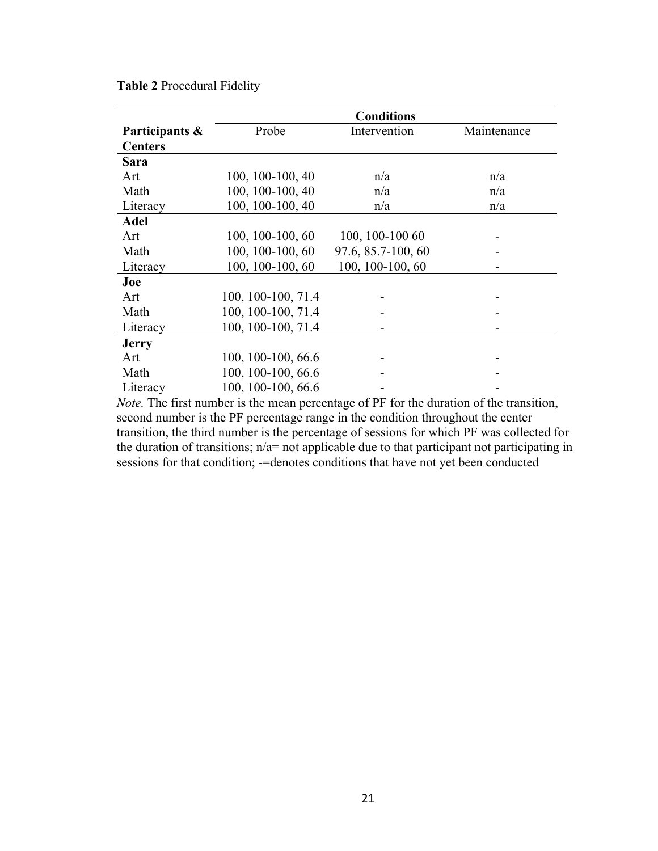|                | <b>Conditions</b>  |                    |             |  |
|----------------|--------------------|--------------------|-------------|--|
| Participants & | Probe              | Intervention       | Maintenance |  |
| <b>Centers</b> |                    |                    |             |  |
| <b>Sara</b>    |                    |                    |             |  |
| Art            | 100, 100-100, 40   | n/a                | n/a         |  |
| Math           | 100, 100-100, 40   | n/a                | n/a         |  |
| Literacy       | 100, 100-100, 40   | n/a                | n/a         |  |
| <b>Adel</b>    |                    |                    |             |  |
| Art            | 100, 100-100, 60   | 100, 100-100 60    |             |  |
| Math           | 100, 100-100, 60   | 97.6, 85.7-100, 60 |             |  |
| Literacy       | 100, 100-100, 60   | 100, 100-100, 60   |             |  |
| Joe            |                    |                    |             |  |
| Art            | 100, 100-100, 71.4 |                    |             |  |
| Math           | 100, 100-100, 71.4 |                    |             |  |
| Literacy       | 100, 100-100, 71.4 |                    |             |  |
| <b>Jerry</b>   |                    |                    |             |  |
| Art            | 100, 100-100, 66.6 |                    |             |  |
| Math           | 100, 100-100, 66.6 |                    |             |  |
| Literacy       | 100, 100-100, 66.6 |                    |             |  |

**Table 2** Procedural Fidelity

*Note.* The first number is the mean percentage of PF for the duration of the transition, second number is the PF percentage range in the condition throughout the center transition, the third number is the percentage of sessions for which PF was collected for the duration of transitions;  $n/a$ = not applicable due to that participant not participating in sessions for that condition; -=denotes conditions that have not yet been conducted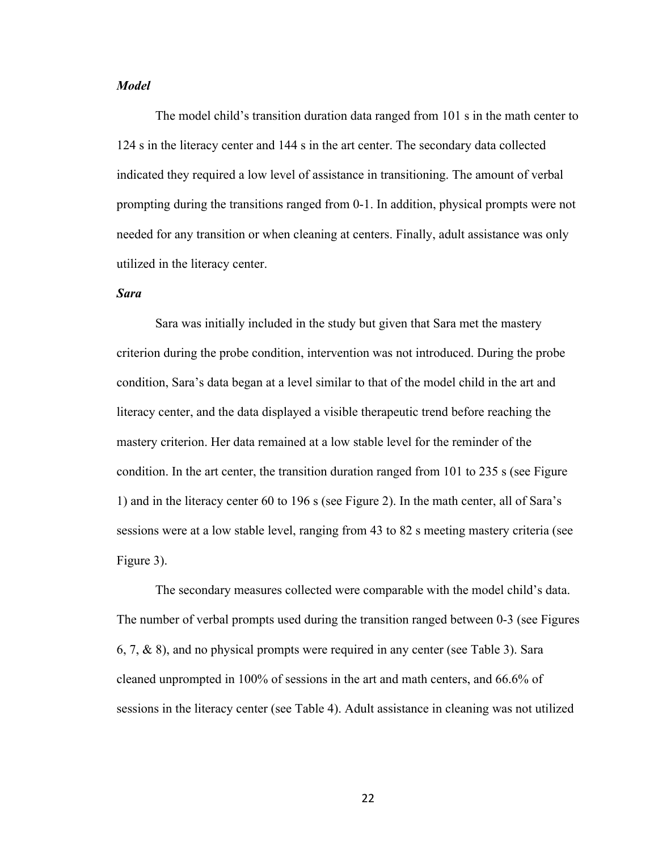#### *Model*

The model child's transition duration data ranged from 101 s in the math center to 124 s in the literacy center and 144 s in the art center. The secondary data collected indicated they required a low level of assistance in transitioning. The amount of verbal prompting during the transitions ranged from 0-1. In addition, physical prompts were not needed for any transition or when cleaning at centers. Finally, adult assistance was only utilized in the literacy center.

#### *Sara*

Sara was initially included in the study but given that Sara met the mastery criterion during the probe condition, intervention was not introduced. During the probe condition, Sara's data began at a level similar to that of the model child in the art and literacy center, and the data displayed a visible therapeutic trend before reaching the mastery criterion. Her data remained at a low stable level for the reminder of the condition. In the art center, the transition duration ranged from 101 to 235 s (see Figure 1) and in the literacy center 60 to 196 s (see Figure 2). In the math center, all of Sara's sessions were at a low stable level, ranging from 43 to 82 s meeting mastery criteria (see Figure 3).

The secondary measures collected were comparable with the model child's data. The number of verbal prompts used during the transition ranged between 0-3 (see Figures 6, 7, & 8), and no physical prompts were required in any center (see Table 3). Sara cleaned unprompted in 100% of sessions in the art and math centers, and 66.6% of sessions in the literacy center (see Table 4). Adult assistance in cleaning was not utilized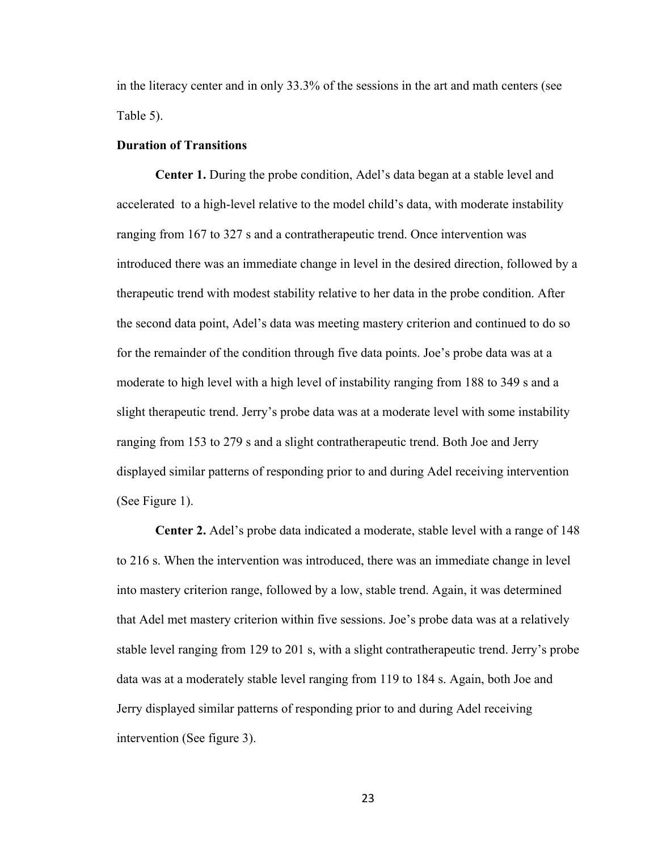in the literacy center and in only 33.3% of the sessions in the art and math centers (see Table 5).

#### **Duration of Transitions**

**Center 1.** During the probe condition, Adel's data began at a stable level and accelerated to a high-level relative to the model child's data, with moderate instability ranging from 167 to 327 s and a contratherapeutic trend. Once intervention was introduced there was an immediate change in level in the desired direction, followed by a therapeutic trend with modest stability relative to her data in the probe condition. After the second data point, Adel's data was meeting mastery criterion and continued to do so for the remainder of the condition through five data points. Joe's probe data was at a moderate to high level with a high level of instability ranging from 188 to 349 s and a slight therapeutic trend. Jerry's probe data was at a moderate level with some instability ranging from 153 to 279 s and a slight contratherapeutic trend. Both Joe and Jerry displayed similar patterns of responding prior to and during Adel receiving intervention (See Figure 1).

**Center 2.** Adel's probe data indicated a moderate, stable level with a range of 148 to 216 s. When the intervention was introduced, there was an immediate change in level into mastery criterion range, followed by a low, stable trend. Again, it was determined that Adel met mastery criterion within five sessions. Joe's probe data was at a relatively stable level ranging from 129 to 201 s, with a slight contratherapeutic trend. Jerry's probe data was at a moderately stable level ranging from 119 to 184 s. Again, both Joe and Jerry displayed similar patterns of responding prior to and during Adel receiving intervention (See figure 3).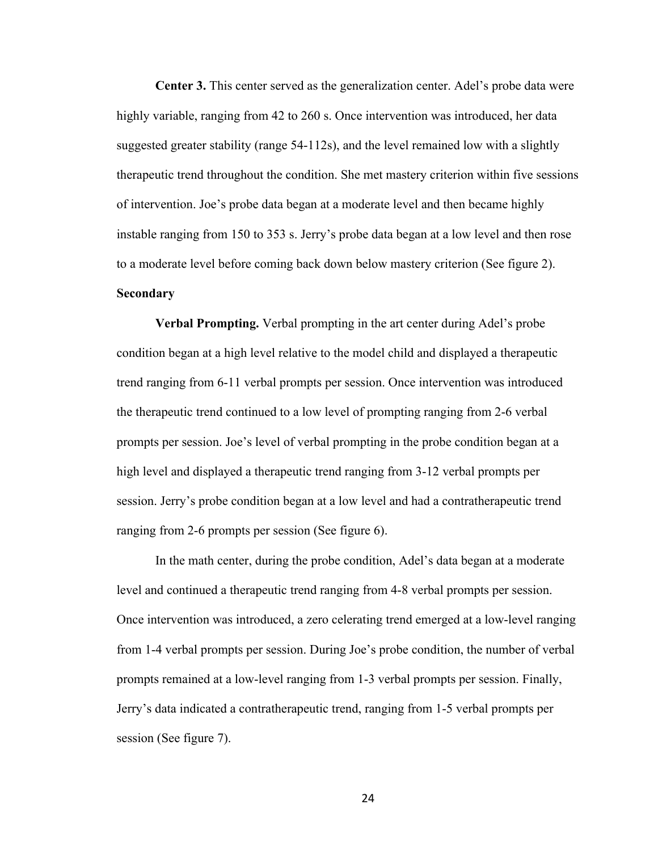**Center 3.** This center served as the generalization center. Adel's probe data were highly variable, ranging from 42 to 260 s. Once intervention was introduced, her data suggested greater stability (range 54-112s), and the level remained low with a slightly therapeutic trend throughout the condition. She met mastery criterion within five sessions of intervention. Joe's probe data began at a moderate level and then became highly instable ranging from 150 to 353 s. Jerry's probe data began at a low level and then rose to a moderate level before coming back down below mastery criterion (See figure 2). **Secondary**

**Verbal Prompting.** Verbal prompting in the art center during Adel's probe condition began at a high level relative to the model child and displayed a therapeutic trend ranging from 6-11 verbal prompts per session. Once intervention was introduced the therapeutic trend continued to a low level of prompting ranging from 2-6 verbal prompts per session. Joe's level of verbal prompting in the probe condition began at a high level and displayed a therapeutic trend ranging from 3-12 verbal prompts per session. Jerry's probe condition began at a low level and had a contratherapeutic trend ranging from 2-6 prompts per session (See figure 6).

In the math center, during the probe condition, Adel's data began at a moderate level and continued a therapeutic trend ranging from 4-8 verbal prompts per session. Once intervention was introduced, a zero celerating trend emerged at a low-level ranging from 1-4 verbal prompts per session. During Joe's probe condition, the number of verbal prompts remained at a low-level ranging from 1-3 verbal prompts per session. Finally, Jerry's data indicated a contratherapeutic trend, ranging from 1-5 verbal prompts per session (See figure 7).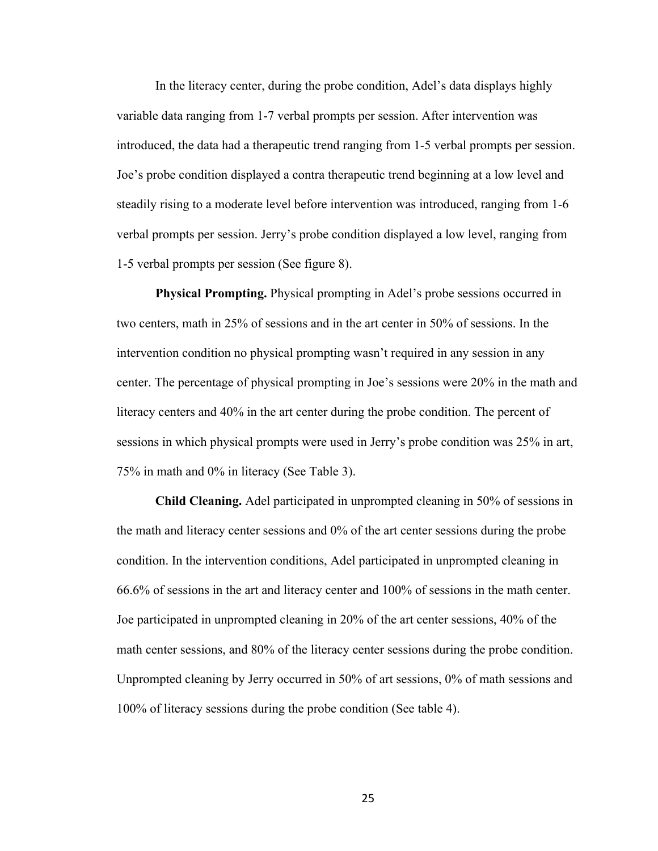In the literacy center, during the probe condition, Adel's data displays highly variable data ranging from 1-7 verbal prompts per session. After intervention was introduced, the data had a therapeutic trend ranging from 1-5 verbal prompts per session. Joe's probe condition displayed a contra therapeutic trend beginning at a low level and steadily rising to a moderate level before intervention was introduced, ranging from 1-6 verbal prompts per session. Jerry's probe condition displayed a low level, ranging from 1-5 verbal prompts per session (See figure 8).

**Physical Prompting.** Physical prompting in Adel's probe sessions occurred in two centers, math in 25% of sessions and in the art center in 50% of sessions. In the intervention condition no physical prompting wasn't required in any session in any center. The percentage of physical prompting in Joe's sessions were 20% in the math and literacy centers and 40% in the art center during the probe condition. The percent of sessions in which physical prompts were used in Jerry's probe condition was 25% in art, 75% in math and 0% in literacy (See Table 3).

**Child Cleaning.** Adel participated in unprompted cleaning in 50% of sessions in the math and literacy center sessions and 0% of the art center sessions during the probe condition. In the intervention conditions, Adel participated in unprompted cleaning in 66.6% of sessions in the art and literacy center and 100% of sessions in the math center. Joe participated in unprompted cleaning in 20% of the art center sessions, 40% of the math center sessions, and 80% of the literacy center sessions during the probe condition. Unprompted cleaning by Jerry occurred in 50% of art sessions, 0% of math sessions and 100% of literacy sessions during the probe condition (See table 4).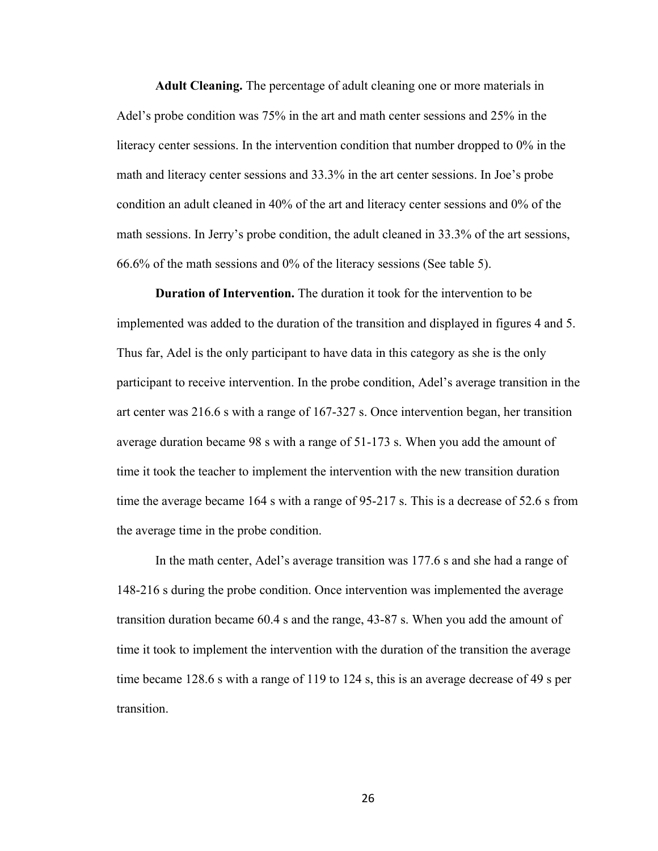**Adult Cleaning.** The percentage of adult cleaning one or more materials in Adel's probe condition was 75% in the art and math center sessions and 25% in the literacy center sessions. In the intervention condition that number dropped to 0% in the math and literacy center sessions and 33.3% in the art center sessions. In Joe's probe condition an adult cleaned in 40% of the art and literacy center sessions and 0% of the math sessions. In Jerry's probe condition, the adult cleaned in 33.3% of the art sessions, 66.6% of the math sessions and 0% of the literacy sessions (See table 5).

**Duration of Intervention.** The duration it took for the intervention to be implemented was added to the duration of the transition and displayed in figures 4 and 5. Thus far, Adel is the only participant to have data in this category as she is the only participant to receive intervention. In the probe condition, Adel's average transition in the art center was 216.6 s with a range of 167-327 s. Once intervention began, her transition average duration became 98 s with a range of 51-173 s. When you add the amount of time it took the teacher to implement the intervention with the new transition duration time the average became 164 s with a range of 95-217 s. This is a decrease of 52.6 s from the average time in the probe condition.

In the math center, Adel's average transition was 177.6 s and she had a range of 148-216 s during the probe condition. Once intervention was implemented the average transition duration became 60.4 s and the range, 43-87 s. When you add the amount of time it took to implement the intervention with the duration of the transition the average time became 128.6 s with a range of 119 to 124 s, this is an average decrease of 49 s per transition.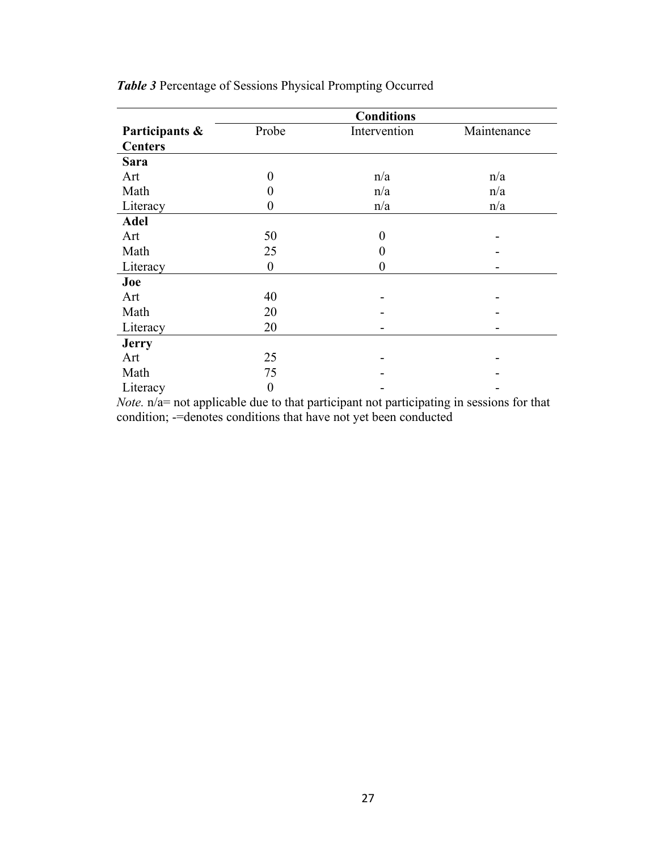|                | <b>Conditions</b> |              |             |  |
|----------------|-------------------|--------------|-------------|--|
| Participants & | Probe             | Intervention | Maintenance |  |
| <b>Centers</b> |                   |              |             |  |
| <b>Sara</b>    |                   |              |             |  |
| Art            | 0                 | n/a          | n/a         |  |
| Math           | 0                 | n/a          | n/a         |  |
| Literacy       | 0                 | n/a          | n/a         |  |
| <b>Adel</b>    |                   |              |             |  |
| Art            | 50                | $\theta$     |             |  |
| Math           | 25                | 0            |             |  |
| Literacy       | $\boldsymbol{0}$  | 0            |             |  |
| Joe            |                   |              |             |  |
| Art            | 40                |              |             |  |
| Math           | 20                |              |             |  |
| Literacy       | 20                |              |             |  |
| <b>Jerry</b>   |                   |              |             |  |
| Art            | 25                |              |             |  |
| Math           | 75                |              |             |  |
| Literacy       | 0                 |              |             |  |

*Table 3* Percentage of Sessions Physical Prompting Occurred

*Note.* n/a= not applicable due to that participant not participating in sessions for that condition; -=denotes conditions that have not yet been conducted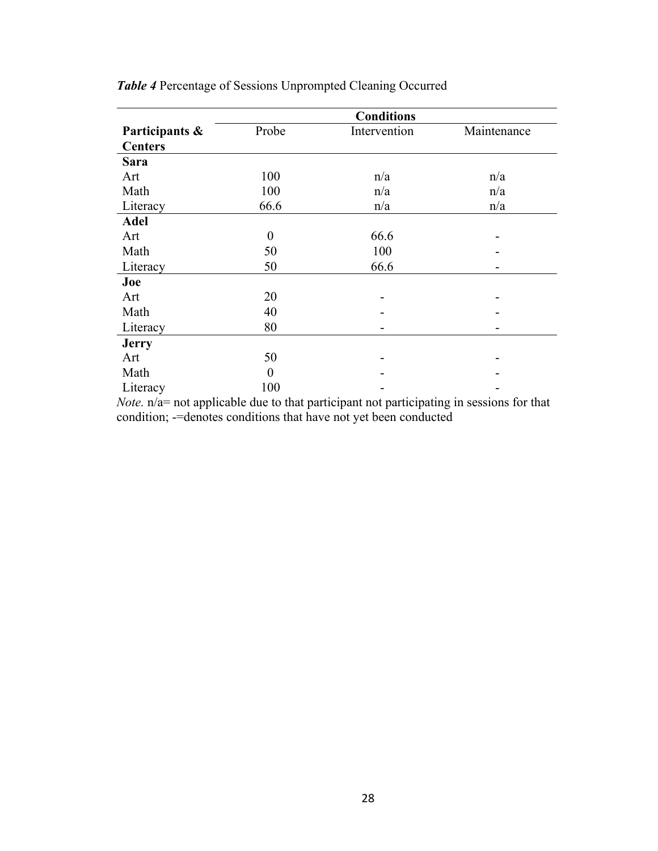|                | <b>Conditions</b> |              |             |
|----------------|-------------------|--------------|-------------|
| Participants & | Probe             | Intervention | Maintenance |
| <b>Centers</b> |                   |              |             |
| <b>Sara</b>    |                   |              |             |
| Art            | 100               | n/a          | n/a         |
| Math           | 100               | n/a          | n/a         |
| Literacy       | 66.6              | n/a          | n/a         |
| <b>Adel</b>    |                   |              |             |
| Art            | $\boldsymbol{0}$  | 66.6         |             |
| Math           | 50                | 100          |             |
| Literacy       | 50                | 66.6         |             |
| Joe            |                   |              |             |
| Art            | 20                |              |             |
| Math           | 40                |              |             |
| Literacy       | 80                |              |             |
| <b>Jerry</b>   |                   |              |             |
| Art            | 50                |              |             |
| Math           | $\theta$          |              |             |
| Literacy       | 100               |              |             |

*Table 4* Percentage of Sessions Unprompted Cleaning Occurred

*Note.* n/a= not applicable due to that participant not participating in sessions for that condition; -=denotes conditions that have not yet been conducted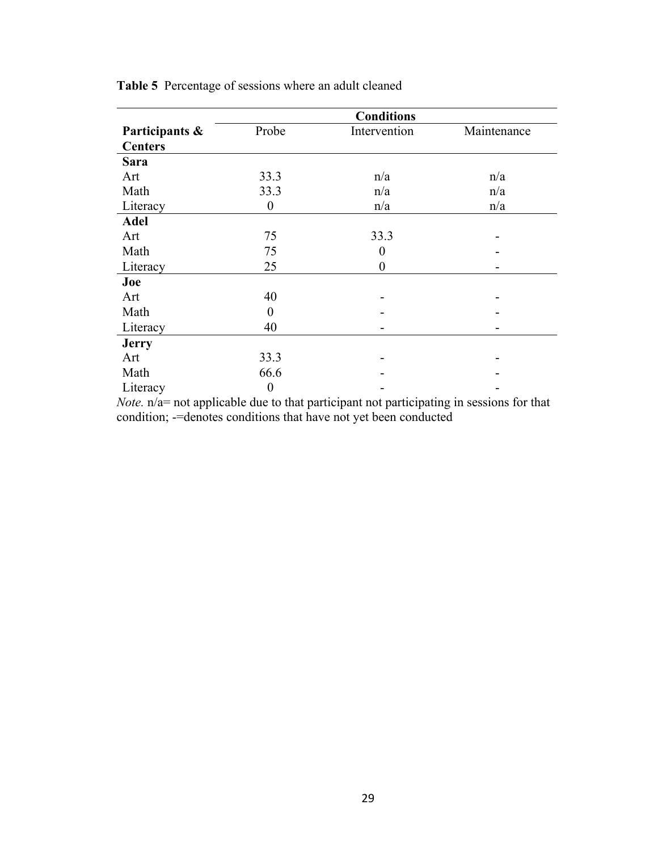|                | <b>Conditions</b> |                  |             |
|----------------|-------------------|------------------|-------------|
| Participants & | Probe             | Intervention     | Maintenance |
| <b>Centers</b> |                   |                  |             |
| <b>Sara</b>    |                   |                  |             |
| Art            | 33.3              | n/a              | n/a         |
| Math           | 33.3              | n/a              | n/a         |
| Literacy       | $\boldsymbol{0}$  | n/a              | n/a         |
| <b>Adel</b>    |                   |                  |             |
| Art            | 75                | 33.3             |             |
| Math           | 75                | $\boldsymbol{0}$ |             |
| Literacy       | 25                | $\theta$         |             |
| Joe            |                   |                  |             |
| Art            | 40                |                  |             |
| Math           | $\theta$          |                  |             |
| Literacy       | 40                |                  |             |
| <b>Jerry</b>   |                   |                  |             |
| Art            | 33.3              |                  |             |
| Math           | 66.6              |                  |             |
| Literacy       | $\boldsymbol{0}$  |                  |             |

**Table 5** Percentage of sessions where an adult cleaned

*Note.* n/a= not applicable due to that participant not participating in sessions for that condition; -=denotes conditions that have not yet been conducted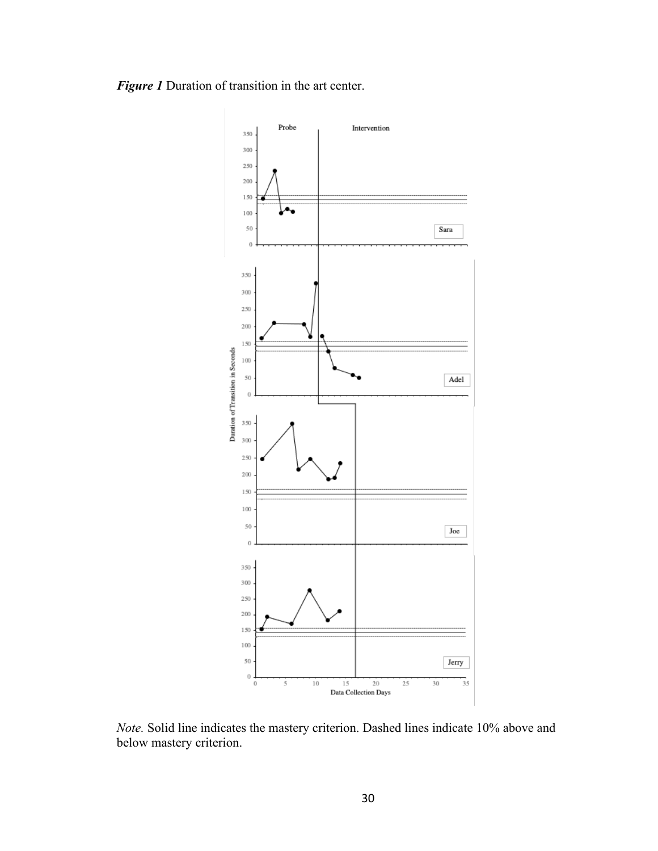



*Note.* Solid line indicates the mastery criterion. Dashed lines indicate 10% above and below mastery criterion.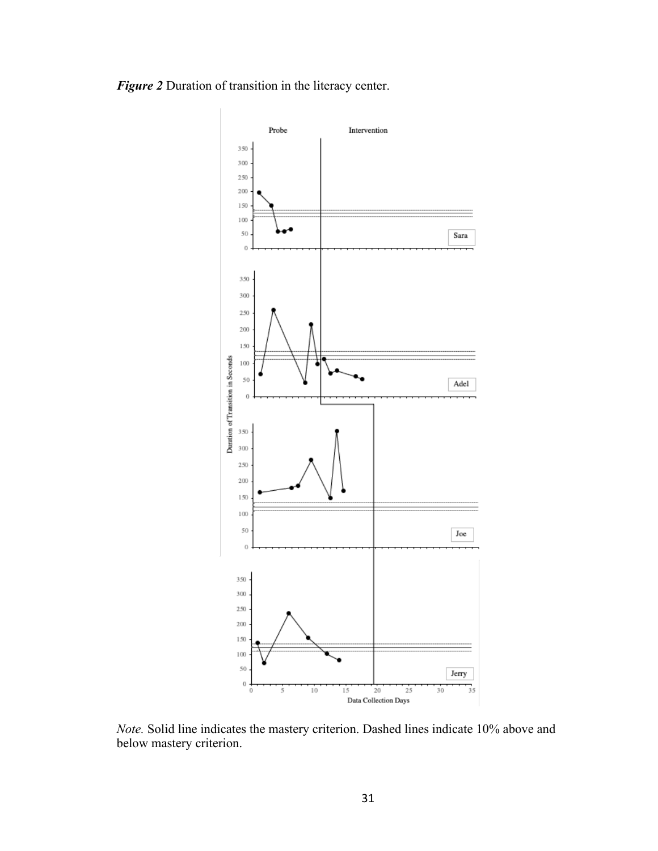

*Figure 2* Duration of transition in the literacy center.

*Note.* Solid line indicates the mastery criterion. Dashed lines indicate 10% above and below mastery criterion.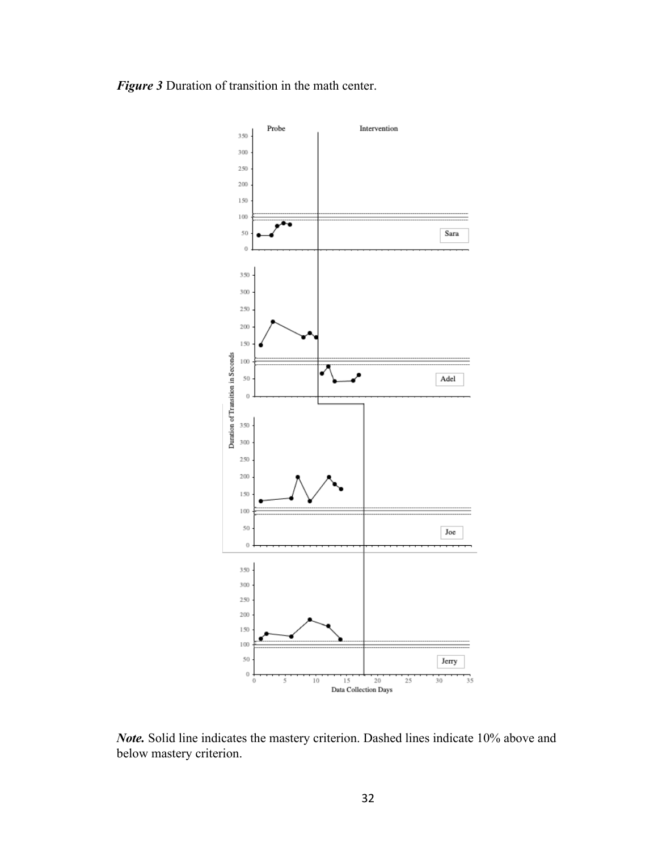



*Note.* Solid line indicates the mastery criterion. Dashed lines indicate 10% above and below mastery criterion.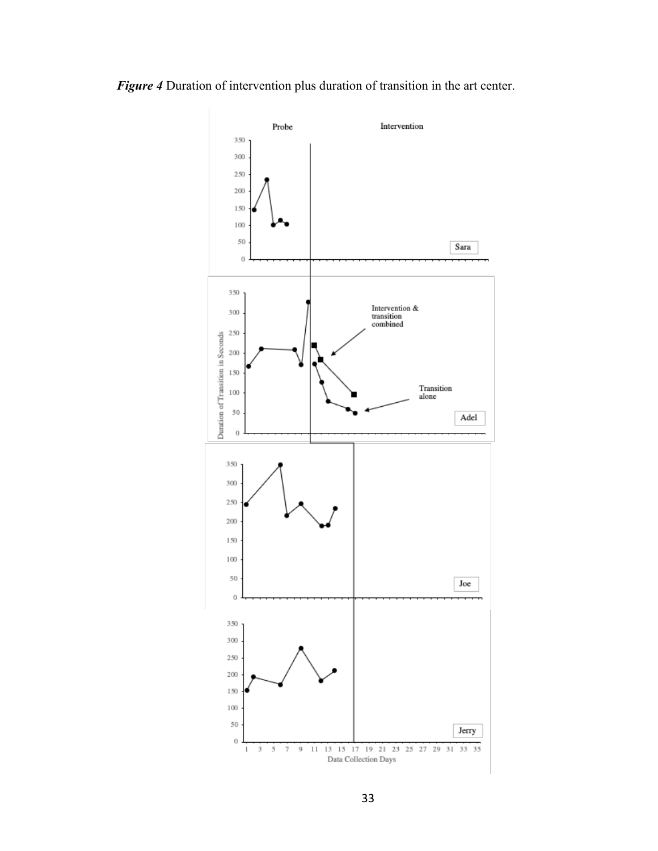

*Figure 4* Duration of intervention plus duration of transition in the art center.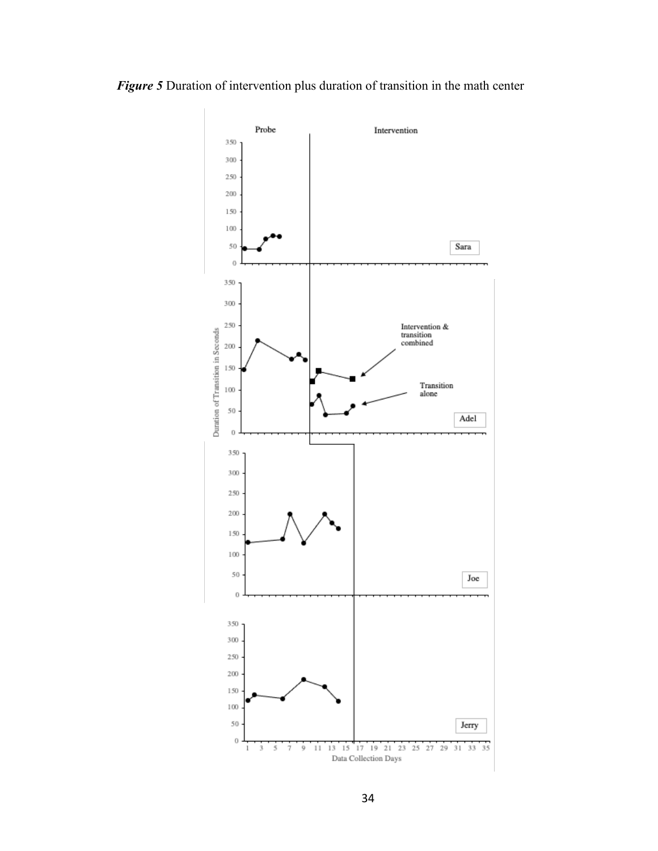

*Figure 5* Duration of intervention plus duration of transition in the math center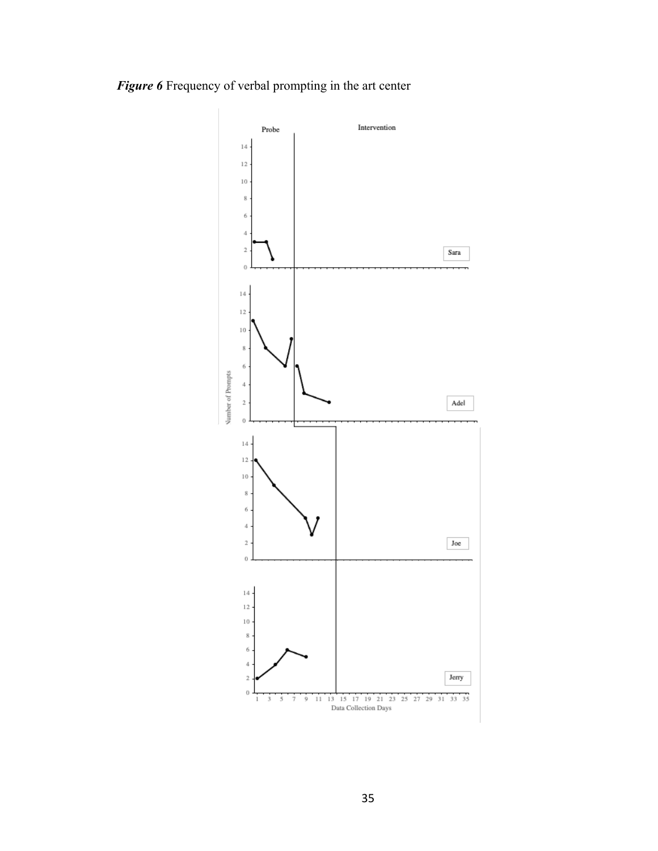## *Figure 6* Frequency of verbal prompting in the art center

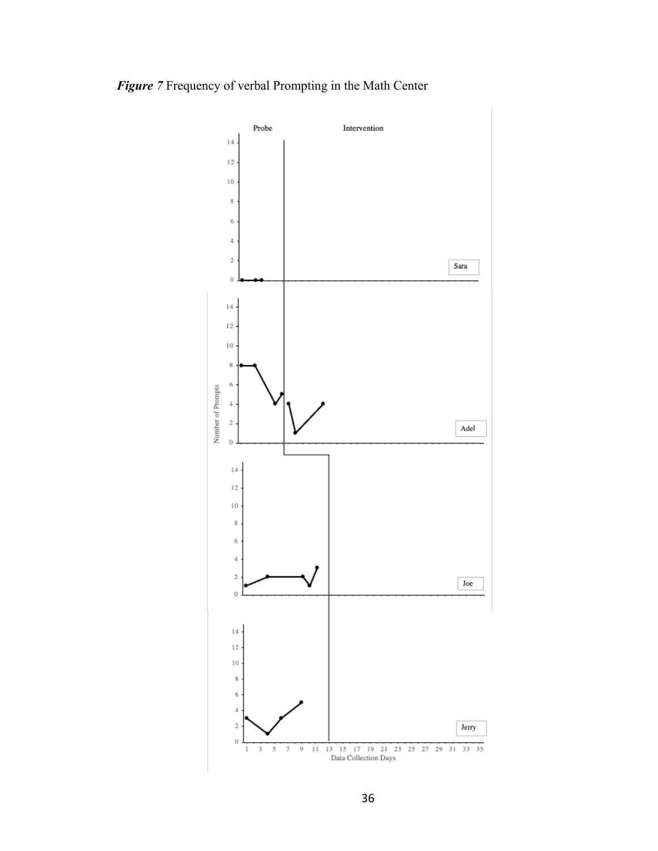



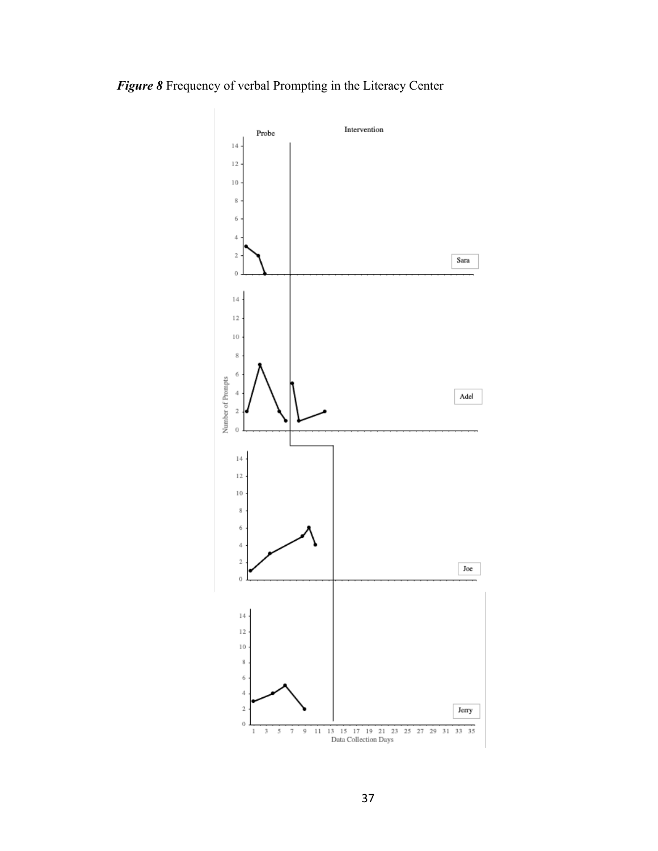## *Figure 8* Frequency of verbal Prompting in the Literacy Center

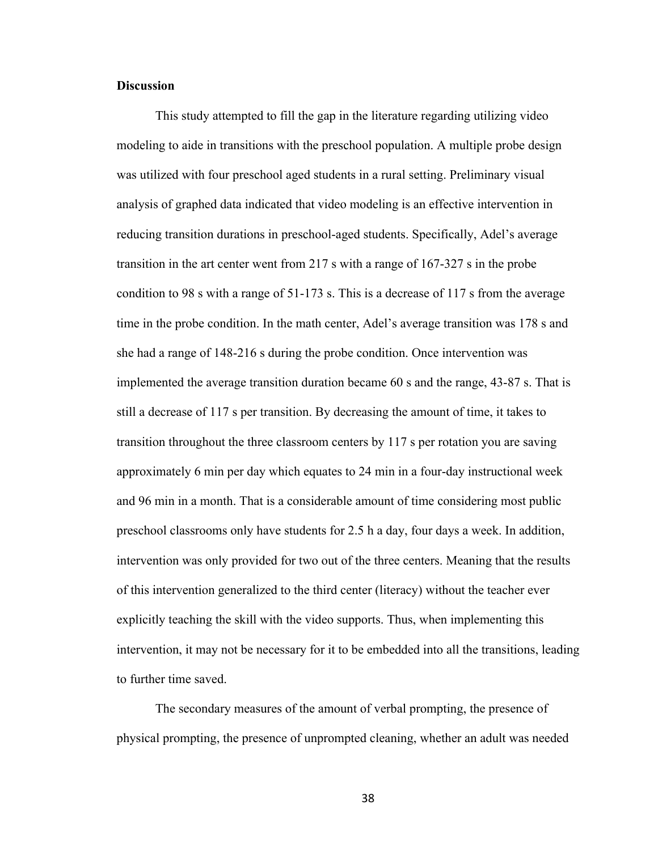#### **Discussion**

This study attempted to fill the gap in the literature regarding utilizing video modeling to aide in transitions with the preschool population. A multiple probe design was utilized with four preschool aged students in a rural setting. Preliminary visual analysis of graphed data indicated that video modeling is an effective intervention in reducing transition durations in preschool-aged students. Specifically, Adel's average transition in the art center went from 217 s with a range of 167-327 s in the probe condition to 98 s with a range of 51-173 s. This is a decrease of 117 s from the average time in the probe condition. In the math center, Adel's average transition was 178 s and she had a range of 148-216 s during the probe condition. Once intervention was implemented the average transition duration became 60 s and the range, 43-87 s. That is still a decrease of 117 s per transition. By decreasing the amount of time, it takes to transition throughout the three classroom centers by 117 s per rotation you are saving approximately 6 min per day which equates to 24 min in a four-day instructional week and 96 min in a month. That is a considerable amount of time considering most public preschool classrooms only have students for 2.5 h a day, four days a week. In addition, intervention was only provided for two out of the three centers. Meaning that the results of this intervention generalized to the third center (literacy) without the teacher ever explicitly teaching the skill with the video supports. Thus, when implementing this intervention, it may not be necessary for it to be embedded into all the transitions, leading to further time saved.

The secondary measures of the amount of verbal prompting, the presence of physical prompting, the presence of unprompted cleaning, whether an adult was needed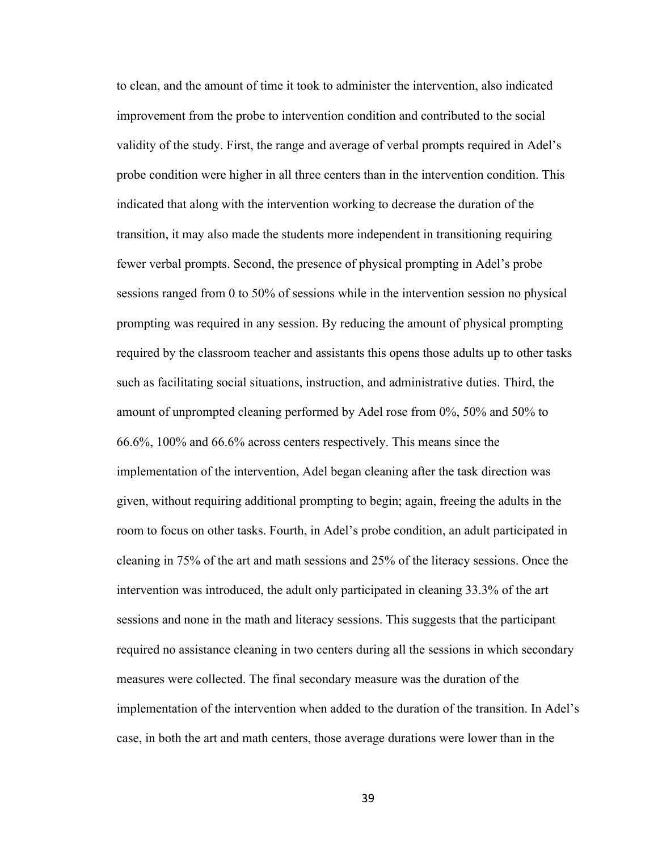to clean, and the amount of time it took to administer the intervention, also indicated improvement from the probe to intervention condition and contributed to the social validity of the study. First, the range and average of verbal prompts required in Adel's probe condition were higher in all three centers than in the intervention condition. This indicated that along with the intervention working to decrease the duration of the transition, it may also made the students more independent in transitioning requiring fewer verbal prompts. Second, the presence of physical prompting in Adel's probe sessions ranged from 0 to 50% of sessions while in the intervention session no physical prompting was required in any session. By reducing the amount of physical prompting required by the classroom teacher and assistants this opens those adults up to other tasks such as facilitating social situations, instruction, and administrative duties. Third, the amount of unprompted cleaning performed by Adel rose from 0%, 50% and 50% to 66.6%, 100% and 66.6% across centers respectively. This means since the implementation of the intervention, Adel began cleaning after the task direction was given, without requiring additional prompting to begin; again, freeing the adults in the room to focus on other tasks. Fourth, in Adel's probe condition, an adult participated in cleaning in 75% of the art and math sessions and 25% of the literacy sessions. Once the intervention was introduced, the adult only participated in cleaning 33.3% of the art sessions and none in the math and literacy sessions. This suggests that the participant required no assistance cleaning in two centers during all the sessions in which secondary measures were collected. The final secondary measure was the duration of the implementation of the intervention when added to the duration of the transition. In Adel's case, in both the art and math centers, those average durations were lower than in the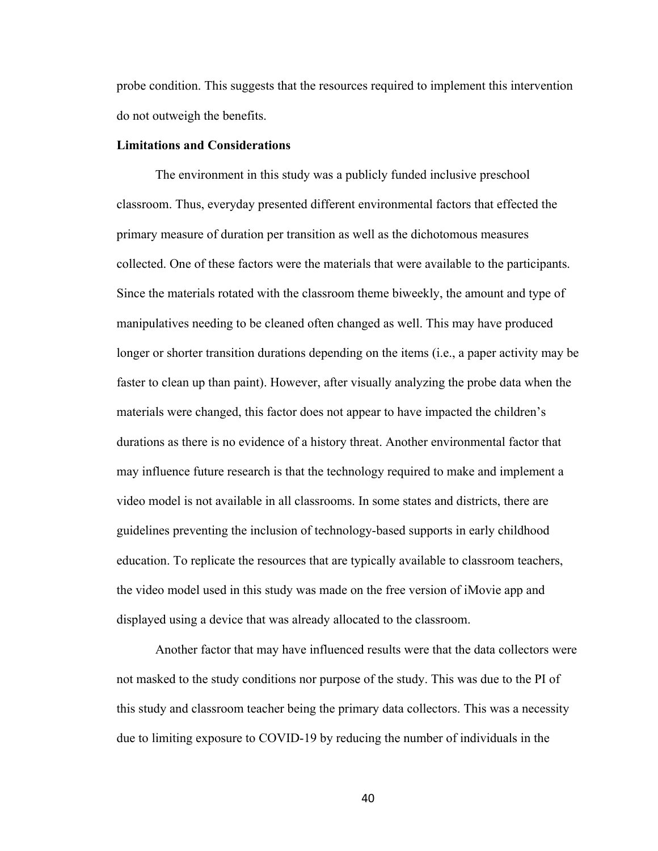probe condition. This suggests that the resources required to implement this intervention do not outweigh the benefits.

#### **Limitations and Considerations**

The environment in this study was a publicly funded inclusive preschool classroom. Thus, everyday presented different environmental factors that effected the primary measure of duration per transition as well as the dichotomous measures collected. One of these factors were the materials that were available to the participants. Since the materials rotated with the classroom theme biweekly, the amount and type of manipulatives needing to be cleaned often changed as well. This may have produced longer or shorter transition durations depending on the items (i.e., a paper activity may be faster to clean up than paint). However, after visually analyzing the probe data when the materials were changed, this factor does not appear to have impacted the children's durations as there is no evidence of a history threat. Another environmental factor that may influence future research is that the technology required to make and implement a video model is not available in all classrooms. In some states and districts, there are guidelines preventing the inclusion of technology-based supports in early childhood education. To replicate the resources that are typically available to classroom teachers, the video model used in this study was made on the free version of iMovie app and displayed using a device that was already allocated to the classroom.

Another factor that may have influenced results were that the data collectors were not masked to the study conditions nor purpose of the study. This was due to the PI of this study and classroom teacher being the primary data collectors. This was a necessity due to limiting exposure to COVID-19 by reducing the number of individuals in the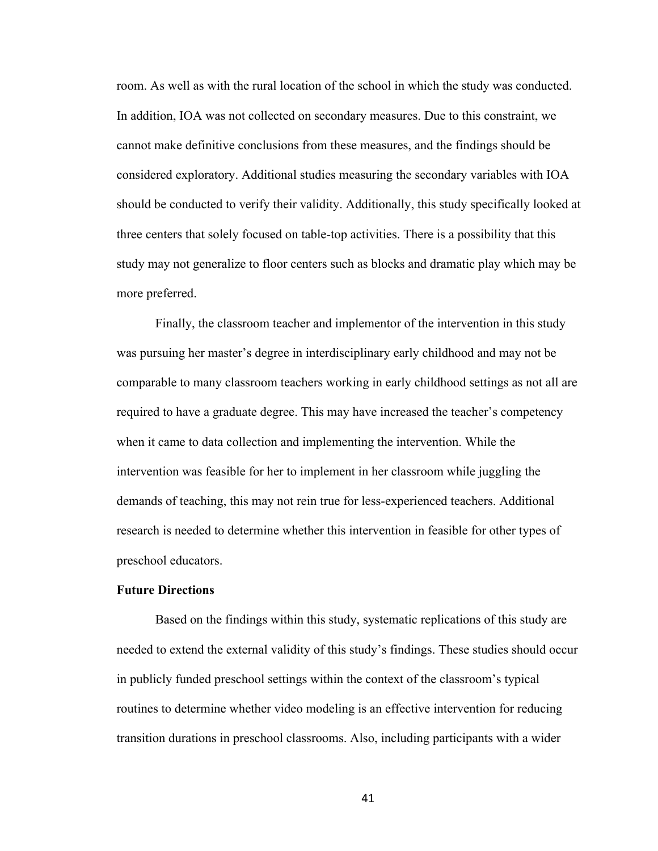room. As well as with the rural location of the school in which the study was conducted. In addition, IOA was not collected on secondary measures. Due to this constraint, we cannot make definitive conclusions from these measures, and the findings should be considered exploratory. Additional studies measuring the secondary variables with IOA should be conducted to verify their validity. Additionally, this study specifically looked at three centers that solely focused on table-top activities. There is a possibility that this study may not generalize to floor centers such as blocks and dramatic play which may be more preferred.

Finally, the classroom teacher and implementor of the intervention in this study was pursuing her master's degree in interdisciplinary early childhood and may not be comparable to many classroom teachers working in early childhood settings as not all are required to have a graduate degree. This may have increased the teacher's competency when it came to data collection and implementing the intervention. While the intervention was feasible for her to implement in her classroom while juggling the demands of teaching, this may not rein true for less-experienced teachers. Additional research is needed to determine whether this intervention in feasible for other types of preschool educators.

#### **Future Directions**

Based on the findings within this study, systematic replications of this study are needed to extend the external validity of this study's findings. These studies should occur in publicly funded preschool settings within the context of the classroom's typical routines to determine whether video modeling is an effective intervention for reducing transition durations in preschool classrooms. Also, including participants with a wider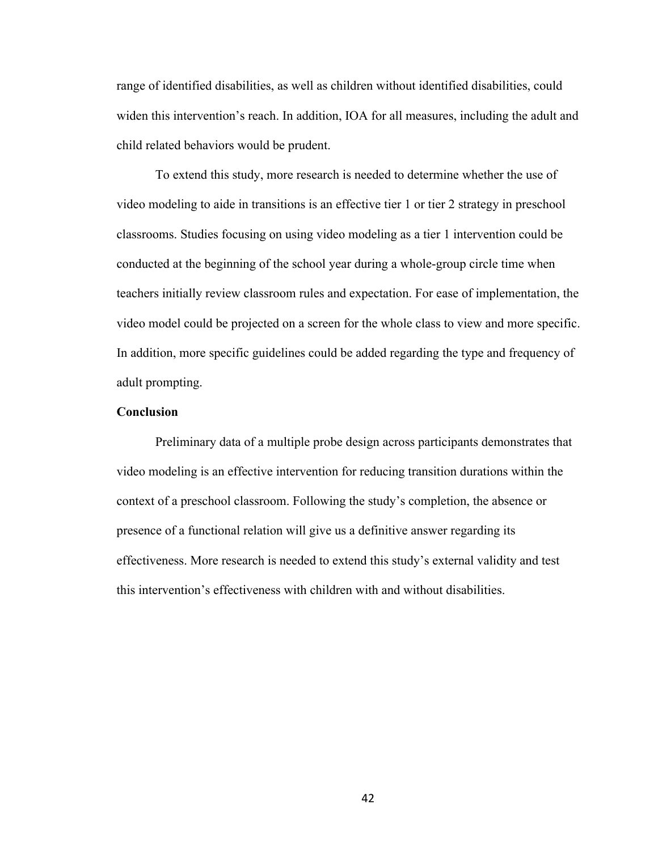range of identified disabilities, as well as children without identified disabilities, could widen this intervention's reach. In addition, IOA for all measures, including the adult and child related behaviors would be prudent.

To extend this study, more research is needed to determine whether the use of video modeling to aide in transitions is an effective tier 1 or tier 2 strategy in preschool classrooms. Studies focusing on using video modeling as a tier 1 intervention could be conducted at the beginning of the school year during a whole-group circle time when teachers initially review classroom rules and expectation. For ease of implementation, the video model could be projected on a screen for the whole class to view and more specific. In addition, more specific guidelines could be added regarding the type and frequency of adult prompting.

#### **Conclusion**

Preliminary data of a multiple probe design across participants demonstrates that video modeling is an effective intervention for reducing transition durations within the context of a preschool classroom. Following the study's completion, the absence or presence of a functional relation will give us a definitive answer regarding its effectiveness. More research is needed to extend this study's external validity and test this intervention's effectiveness with children with and without disabilities.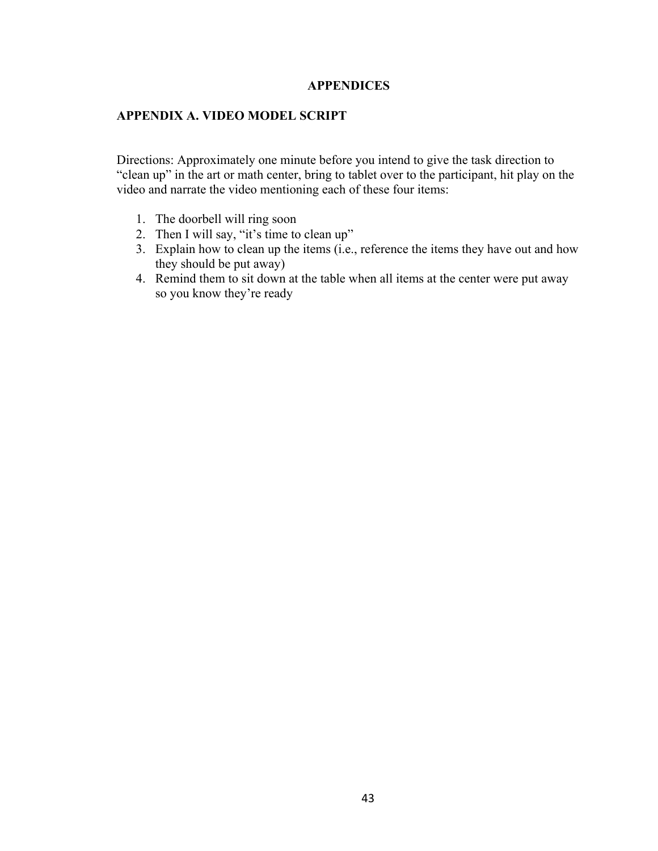#### **APPENDICES**

#### **APPENDIX A. VIDEO MODEL SCRIPT**

Directions: Approximately one minute before you intend to give the task direction to "clean up" in the art or math center, bring to tablet over to the participant, hit play on the video and narrate the video mentioning each of these four items:

- 1. The doorbell will ring soon
- 2. Then I will say, "it's time to clean up"
- 3. Explain how to clean up the items (i.e., reference the items they have out and how they should be put away)
- 4. Remind them to sit down at the table when all items at the center were put away so you know they're ready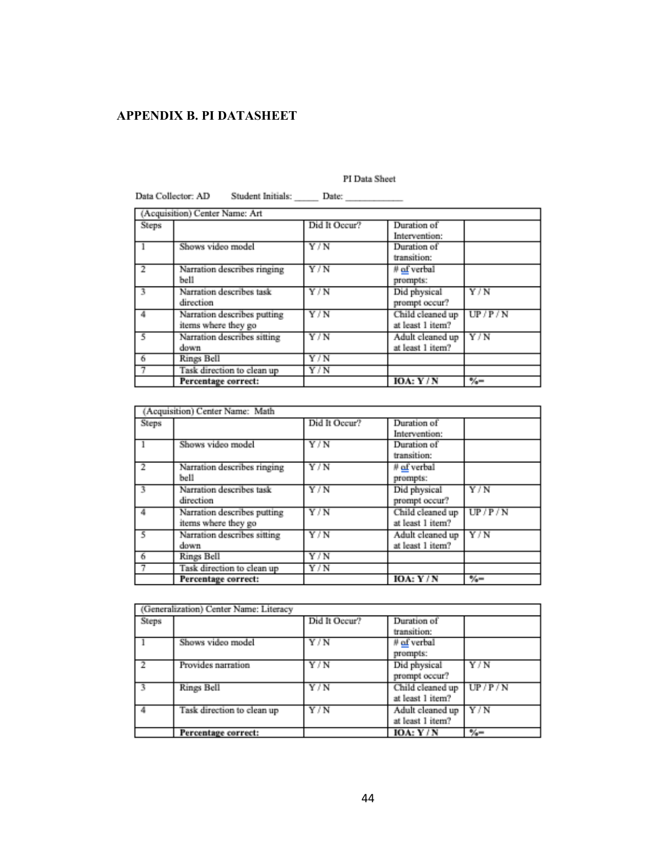## **APPENDIX B. PI DATASHEET**

#### PI Data Sheet

|                | Data Collector: AD                                 |               |                                      |        |
|----------------|----------------------------------------------------|---------------|--------------------------------------|--------|
|                | (Acquisition) Center Name: Art                     |               |                                      |        |
| Steps          |                                                    | Did It Occur? | Duration of<br>Intervention:         |        |
|                | Shows video model                                  | Y/N           | Duration of<br>transition:           |        |
| $\overline{2}$ | Narration describes ringing<br>bell                | Y/N           | $#$ of verbal<br>prompts:            |        |
| ٦              | Narration describes task<br>direction              | Y/N           | Did physical<br>prompt occur?        | Y/N    |
|                | Narration describes putting<br>items where they go | Y/N           | Child cleaned up<br>at least 1 item? | UP/P/N |
| 5              | Narration describes sitting<br>down                | Y/N           | Adult cleaned up<br>at least 1 item? | Y/N    |
| 6              | Rings Bell                                         | Y/N           |                                      |        |
|                | Task direction to clean up                         | Y/N           |                                      |        |
|                | Percentage correct:                                |               | IOA: $Y/N$                           | ツィー    |

Data Collector: AD Student Initials:

|       | (Acquisition) Center Name: Math                    |               |                                      |                |
|-------|----------------------------------------------------|---------------|--------------------------------------|----------------|
| Steps |                                                    | Did It Occur? | Duration of<br>Intervention:         |                |
|       | Shows video model                                  | Y/N           | Duration of<br>transition:           |                |
| 2     | Narration describes ringing<br>bell                | Y/N           | # of verbal<br>prompts:              |                |
| з     | Narration describes task<br>direction              | Y/N           | Did physical<br>prompt occur?        | Y/N            |
|       | Narration describes putting<br>items where they go | Y/N           | Child cleaned up<br>at least 1 item? | UP/P/N         |
| 5     | Narration describes sitting<br>down                | Y/N           | Adult cleaned up<br>at least 1 item? | Y/N            |
| 6     | Rings Bell                                         | Y/N           |                                      |                |
| 7     | Task direction to clean up                         | Y/N           |                                      |                |
|       | Percentage correct:                                |               | IOA: $Y/N$                           | $-\frac{2}{2}$ |

|       | (Generalization) Center Name: Literacy |               |                  |               |
|-------|----------------------------------------|---------------|------------------|---------------|
| Steps |                                        | Did It Occur? | Duration of      |               |
|       |                                        |               | transition:      |               |
|       | Shows video model                      | Y/N           | ∦ of verbal      |               |
|       |                                        |               | prompts:         |               |
|       | Provides narration                     | Y/N           | Did physical     | Y/N           |
|       |                                        |               | prompt occur?    |               |
|       | Rings Bell                             | Y/N           | Child cleaned up | UP/P/N        |
|       |                                        |               | at least 1 item? |               |
|       | Task direction to clean up             | Y/N           | Adult cleaned up | Y/N           |
|       |                                        |               | at least 1 item? |               |
|       | Percentage correct:                    |               | IOA: $Y/N$       | $\frac{6}{2}$ |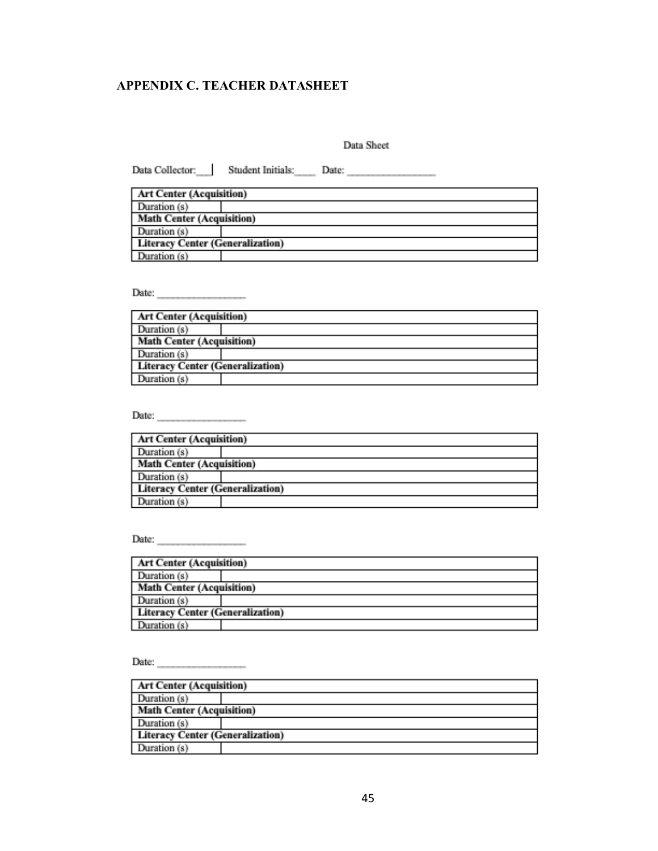## **APPENDIX C. TEACHER DATASHEET**

Data Sheet

| <b>Art Center (Acquisition)</b>         |  |
|-----------------------------------------|--|
| Duration (s)                            |  |
| <b>Math Center (Acquisition)</b>        |  |
| Duration (s)                            |  |
| <b>Literacy Center (Generalization)</b> |  |
| Duration (s)                            |  |

Date:  $\qquad \qquad$ 

| <b>Art Center (Acquisition)</b>  |  |  |  |  |
|----------------------------------|--|--|--|--|
| Duration (s)                     |  |  |  |  |
| <b>Math Center (Acquisition)</b> |  |  |  |  |
| Duration (s)                     |  |  |  |  |
| Literacy Center (Generalization) |  |  |  |  |
| Duration (s)                     |  |  |  |  |

Date:  $\frac{1}{2}$ 

| <b>Art Center (Acquisition)</b>  |  |  |  |  |
|----------------------------------|--|--|--|--|
| Duration (s)                     |  |  |  |  |
| <b>Math Center (Acquisition)</b> |  |  |  |  |
| Duration (s)                     |  |  |  |  |
| Literacy Center (Generalization) |  |  |  |  |
| Duration (s)                     |  |  |  |  |

Date:  $\qquad \qquad$ 

| <b>Art Center (Acquisition)</b>         |  |  |  |  |
|-----------------------------------------|--|--|--|--|
| Duration (s)                            |  |  |  |  |
| <b>Math Center (Acquisition)</b>        |  |  |  |  |
| Duration (s)                            |  |  |  |  |
| <b>Literacy Center (Generalization)</b> |  |  |  |  |
| Duration (s)                            |  |  |  |  |

Date:  $\qquad \qquad$ 

| <b>Art Center (Acquisition)</b>         |  |  |  |  |
|-----------------------------------------|--|--|--|--|
| Duration (s)                            |  |  |  |  |
| <b>Math Center (Acquisition)</b>        |  |  |  |  |
| Duration (s)                            |  |  |  |  |
| <b>Literacy Center (Generalization)</b> |  |  |  |  |
| Duration (s)                            |  |  |  |  |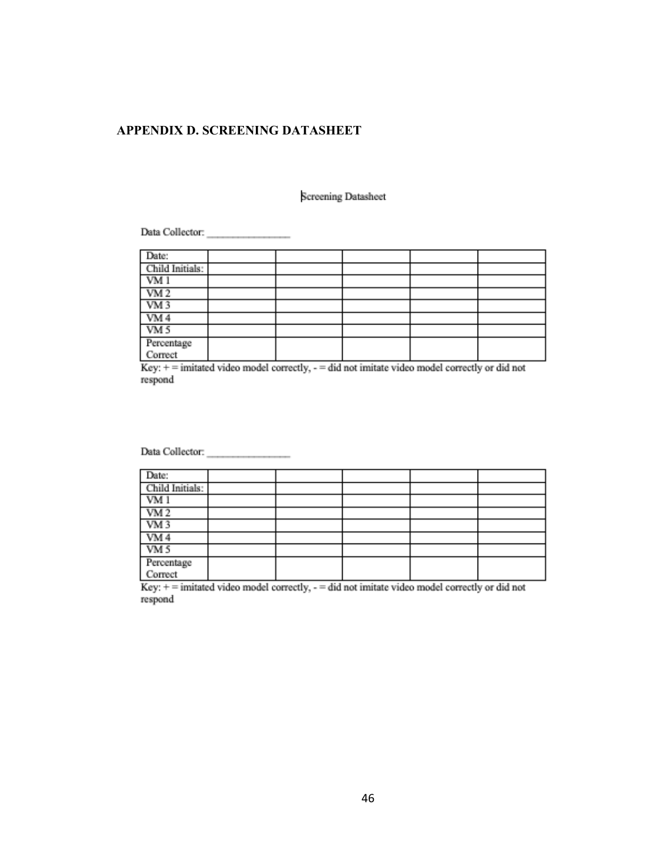## **APPENDIX D. SCREENING DATASHEET**

#### Screening Datasheet

 ${\bf Data\, Collection.}$ 

| Date:                 |  |  |  |
|-----------------------|--|--|--|
| Child Initials:       |  |  |  |
| VM 1                  |  |  |  |
| VM2                   |  |  |  |
| VM3                   |  |  |  |
| VM4                   |  |  |  |
| VM <sub>5</sub>       |  |  |  |
| Percentage<br>Correct |  |  |  |
|                       |  |  |  |

Key:  $+=$  imitated video model correctly,  $=$  did not imitate video model correctly or did not respond

| Date:                 |  |  |  |
|-----------------------|--|--|--|
| Child Initials:       |  |  |  |
| VM1                   |  |  |  |
| VM2                   |  |  |  |
| VM <sub>3</sub>       |  |  |  |
| VM4                   |  |  |  |
| VM <sub>5</sub>       |  |  |  |
| Percentage<br>Correct |  |  |  |
|                       |  |  |  |

Key: + = imitated video model correctly, - = did not imitate video model correctly or did not respond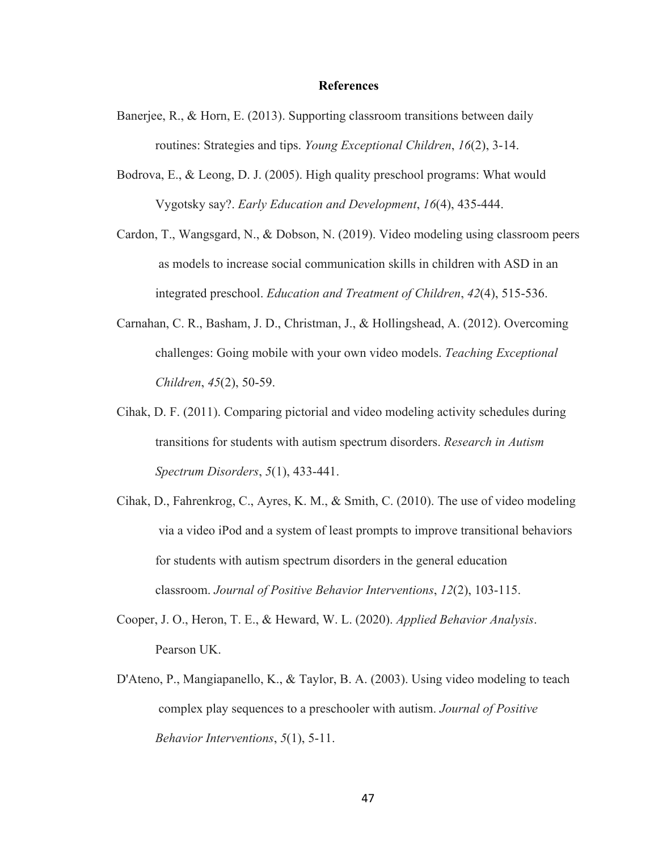#### **References**

- Banerjee, R., & Horn, E. (2013). Supporting classroom transitions between daily routines: Strategies and tips. *Young Exceptional Children*, *16*(2), 3-14.
- Bodrova, E., & Leong, D. J. (2005). High quality preschool programs: What would Vygotsky say?. *Early Education and Development*, *16*(4), 435-444.
- Cardon, T., Wangsgard, N., & Dobson, N. (2019). Video modeling using classroom peers as models to increase social communication skills in children with ASD in an integrated preschool. *Education and Treatment of Children*, *42*(4), 515-536.
- Carnahan, C. R., Basham, J. D., Christman, J., & Hollingshead, A. (2012). Overcoming challenges: Going mobile with your own video models. *Teaching Exceptional Children*, *45*(2), 50-59.
- Cihak, D. F. (2011). Comparing pictorial and video modeling activity schedules during transitions for students with autism spectrum disorders. *Research in Autism Spectrum Disorders*, *5*(1), 433-441.
- Cihak, D., Fahrenkrog, C., Ayres, K. M., & Smith, C. (2010). The use of video modeling via a video iPod and a system of least prompts to improve transitional behaviors for students with autism spectrum disorders in the general education classroom. *Journal of Positive Behavior Interventions*, *12*(2), 103-115.
- Cooper, J. O., Heron, T. E., & Heward, W. L. (2020). *Applied Behavior Analysis*. Pearson UK.
- D'Ateno, P., Mangiapanello, K., & Taylor, B. A. (2003). Using video modeling to teach complex play sequences to a preschooler with autism. *Journal of Positive Behavior Interventions*, *5*(1), 5-11.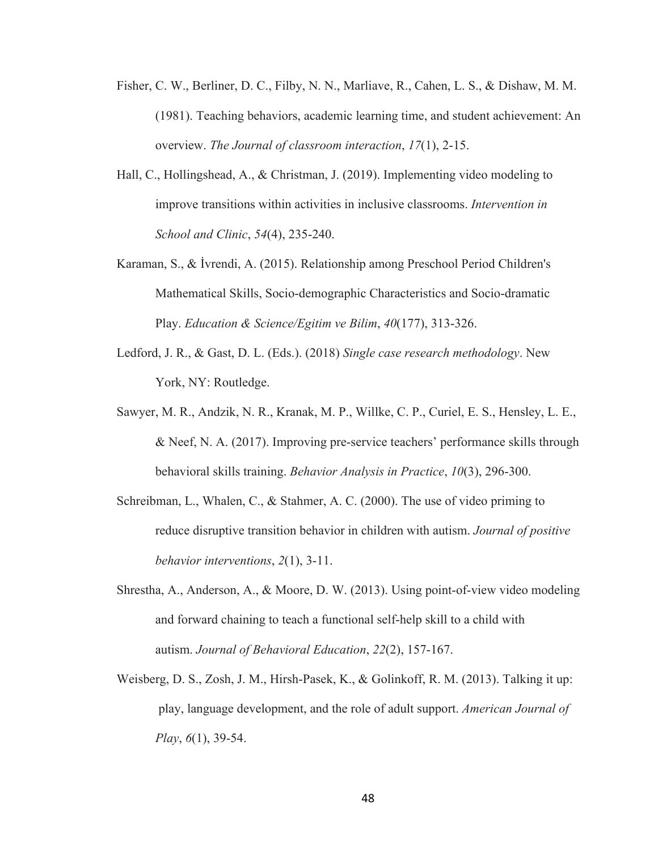- Fisher, C. W., Berliner, D. C., Filby, N. N., Marliave, R., Cahen, L. S., & Dishaw, M. M. (1981). Teaching behaviors, academic learning time, and student achievement: An overview. *The Journal of classroom interaction*, *17*(1), 2-15.
- Hall, C., Hollingshead, A., & Christman, J. (2019). Implementing video modeling to improve transitions within activities in inclusive classrooms. *Intervention in School and Clinic*, *54*(4), 235-240.
- Karaman, S., & İvrendi, A. (2015). Relationship among Preschool Period Children's Mathematical Skills, Socio-demographic Characteristics and Socio-dramatic Play. *Education & Science/Egitim ve Bilim*, *40*(177), 313-326.
- Ledford, J. R., & Gast, D. L. (Eds.). (2018) *Single case research methodology*. New York, NY: Routledge.
- Sawyer, M. R., Andzik, N. R., Kranak, M. P., Willke, C. P., Curiel, E. S., Hensley, L. E., & Neef, N. A. (2017). Improving pre-service teachers' performance skills through behavioral skills training. *Behavior Analysis in Practice*, *10*(3), 296-300.
- Schreibman, L., Whalen, C., & Stahmer, A. C. (2000). The use of video priming to reduce disruptive transition behavior in children with autism. *Journal of positive behavior interventions*, *2*(1), 3-11.
- Shrestha, A., Anderson, A., & Moore, D. W. (2013). Using point-of-view video modeling and forward chaining to teach a functional self-help skill to a child with autism. *Journal of Behavioral Education*, *22*(2), 157-167.
- Weisberg, D. S., Zosh, J. M., Hirsh-Pasek, K., & Golinkoff, R. M. (2013). Talking it up: play, language development, and the role of adult support. *American Journal of Play*, *6*(1), 39-54.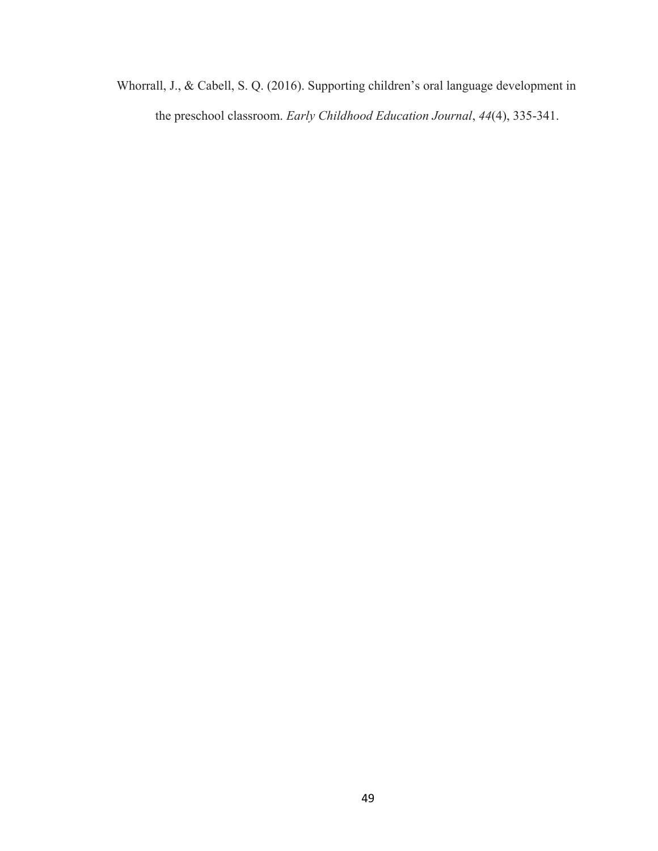Whorrall, J., & Cabell, S. Q. (2016). Supporting children's oral language development in the preschool classroom. *Early Childhood Education Journal*, *44*(4), 335-341.